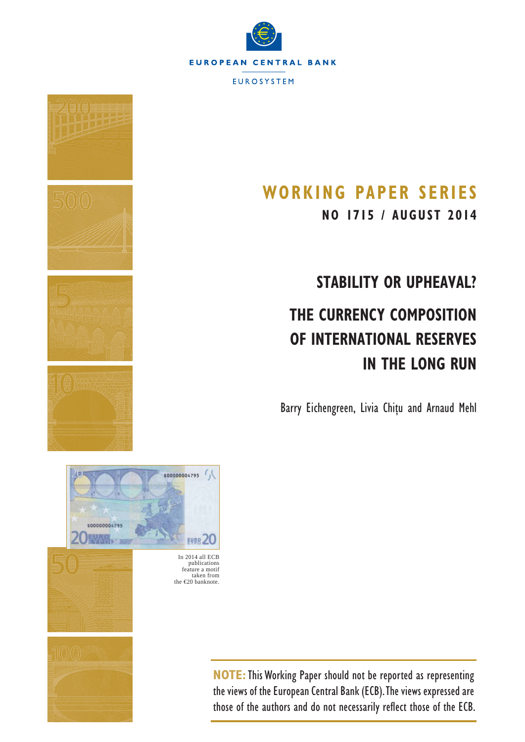



# **WORKING PAPER SERIES**

**NO 1715 / AUGUST 2014**

# **STABILITY OR UPHEAVAL? THE CURRENCY COMPOSITION OF INTERNATIONAL RESERVES IN THE LONG RUN**

Barry Eichengreen, Livia Chiţu and Arnaud Mehl



**NOTE:**This Working Paper should not be reported as representing the views of the European Central Bank (ECB). The views expressed are those of the authors and do not necessarily reflect those of the ECB.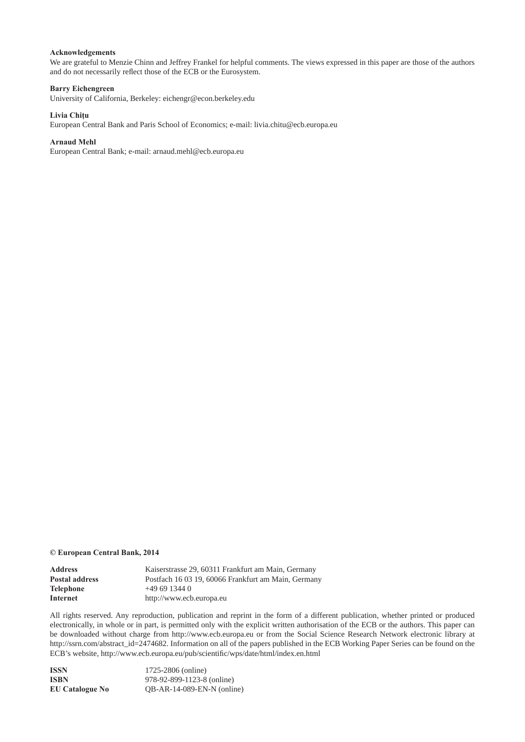## **Acknowledgements**

We are grateful to Menzie Chinn and Jeffrey Frankel for helpful comments. The views expressed in this paper are those of the authors and do not necessarily reflect those of the ECB or the Eurosystem.

#### **Barry Eichengreen**

University of California, Berkeley: eichengr@econ.berkeley.edu

#### **Livia Chiţu**

European Central Bank and Paris School of Economics; e-mail: livia.chitu@ecb.europa.eu

#### **Arnaud Mehl**

European Central Bank; e-mail: arnaud.mehl@ecb.europa.eu

#### **© European Central Bank, 2014**

| Address        | Kaiserstrasse 29, 60311 Frankfurt am Main, Germany  |
|----------------|-----------------------------------------------------|
| Postal address | Postfach 16 03 19, 60066 Frankfurt am Main, Germany |
| Telephone      | $+496913440$                                        |
| Internet       | http://www.ecb.europa.eu                            |

All rights reserved. Any reproduction, publication and reprint in the form of a different publication, whether printed or produced electronically, in whole or in part, is permitted only with the explicit written authorisation of the ECB or the authors. This paper can be downloaded without charge from http://www.ecb.europa.eu or from the Social Science Research Network electronic library at http://ssrn.com/abstract\_id=2474682. Information on all of the papers published in the ECB Working Paper Series can be found on the ECB's website, http://www.ecb.europa.eu/pub/scientific/wps/date/html/index.en.html

| ISSN                   | 1725-2806 (online)           |
|------------------------|------------------------------|
| ISBN                   | 978-92-899-1123-8 (online)   |
| <b>EU Catalogue No</b> | $OB-AR-14-089-EN-N$ (online) |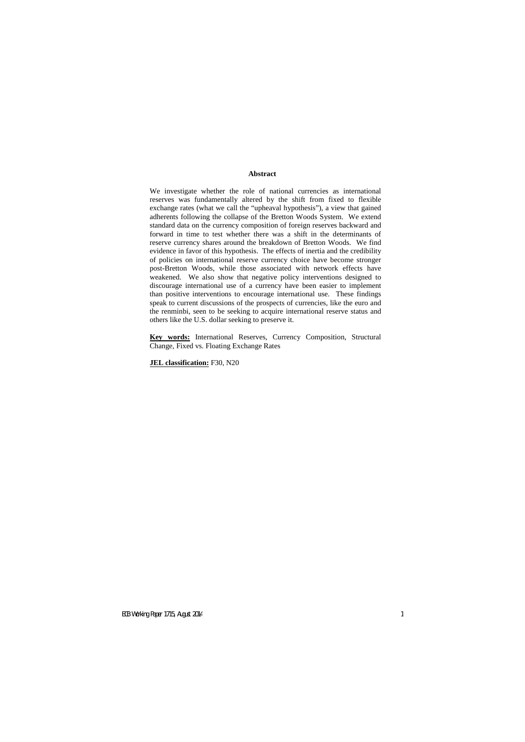## **Abstract**

We investigate whether the role of national currencies as international reserves was fundamentally altered by the shift from fixed to flexible exchange rates (what we call the "upheaval hypothesis"), a view that gained adherents following the collapse of the Bretton Woods System. We extend standard data on the currency composition of foreign reserves backward and forward in time to test whether there was a shift in the determinants of reserve currency shares around the breakdown of Bretton Woods. We find evidence in favor of this hypothesis. The effects of inertia and the credibility of policies on international reserve currency choice have become stronger post-Bretton Woods, while those associated with network effects have weakened. We also show that negative policy interventions designed to discourage international use of a currency have been easier to implement than positive interventions to encourage international use. These findings speak to current discussions of the prospects of currencies, like the euro and the renminbi, seen to be seeking to acquire international reserve status and others like the U.S. dollar seeking to preserve it.

**Key words:** International Reserves, Currency Composition, Structural Change, Fixed vs. Floating Exchange Rates

**JEL classification:** F30, N20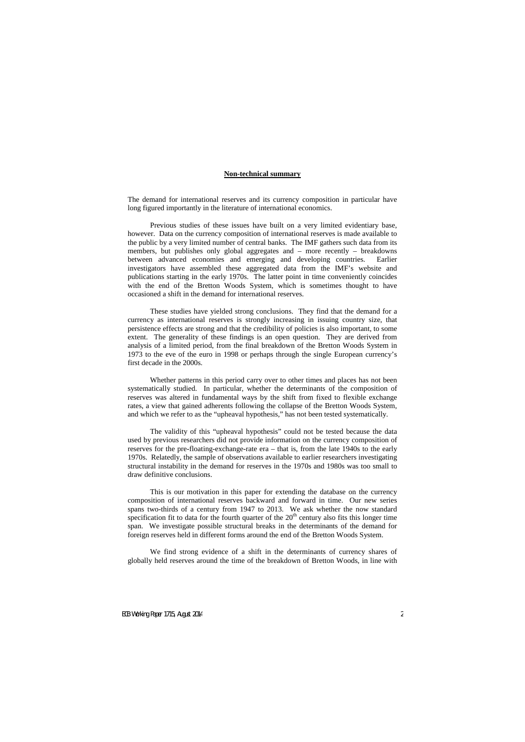## **Non-technical summary**

The demand for international reserves and its currency composition in particular have long figured importantly in the literature of international economics.

Previous studies of these issues have built on a very limited evidentiary base, however. Data on the currency composition of international reserves is made available to the public by a very limited number of central banks. The IMF gathers such data from its members, but publishes only global aggregates and – more recently – breakdowns between advanced economies and emerging and developing countries. Earlier investigators have assembled these aggregated data from the IMF's website and publications starting in the early 1970s. The latter point in time conveniently coincides with the end of the Bretton Woods System, which is sometimes thought to have occasioned a shift in the demand for international reserves.

These studies have yielded strong conclusions. They find that the demand for a currency as international reserves is strongly increasing in issuing country size, that persistence effects are strong and that the credibility of policies is also important, to some extent. The generality of these findings is an open question. They are derived from analysis of a limited period, from the final breakdown of the Bretton Woods System in 1973 to the eve of the euro in 1998 or perhaps through the single European currency's first decade in the 2000s.

Whether patterns in this period carry over to other times and places has not been systematically studied. In particular, whether the determinants of the composition of reserves was altered in fundamental ways by the shift from fixed to flexible exchange rates, a view that gained adherents following the collapse of the Bretton Woods System, and which we refer to as the "upheaval hypothesis," has not been tested systematically.

The validity of this "upheaval hypothesis" could not be tested because the data used by previous researchers did not provide information on the currency composition of reserves for the pre-floating-exchange-rate era – that is, from the late 1940s to the early 1970s. Relatedly, the sample of observations available to earlier researchers investigating structural instability in the demand for reserves in the 1970s and 1980s was too small to draw definitive conclusions.

This is our motivation in this paper for extending the database on the currency composition of international reserves backward and forward in time. Our new series spans two-thirds of a century from 1947 to 2013. We ask whether the now standard specification fit to data for the fourth quarter of the  $20<sup>th</sup>$  century also fits this longer time span. We investigate possible structural breaks in the determinants of the demand for foreign reserves held in different forms around the end of the Bretton Woods System.

We find strong evidence of a shift in the determinants of currency shares of globally held reserves around the time of the breakdown of Bretton Woods, in line with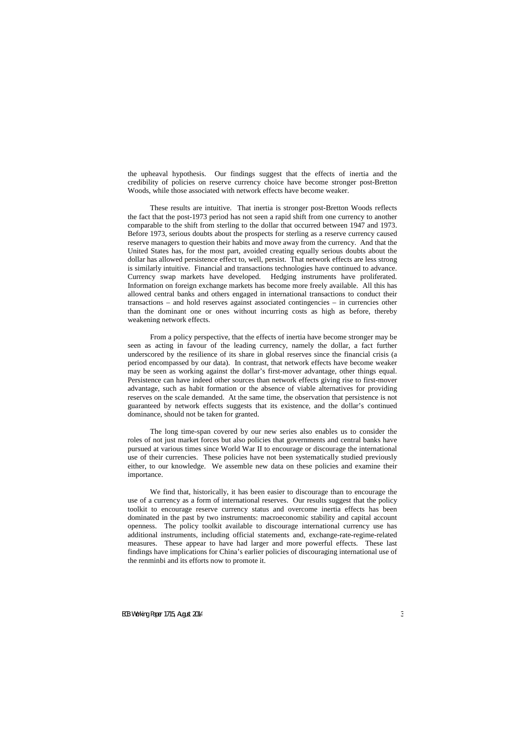the upheaval hypothesis. Our findings suggest that the effects of inertia and the credibility of policies on reserve currency choice have become stronger post-Bretton Woods, while those associated with network effects have become weaker.

These results are intuitive. That inertia is stronger post-Bretton Woods reflects the fact that the post-1973 period has not seen a rapid shift from one currency to another comparable to the shift from sterling to the dollar that occurred between 1947 and 1973. Before 1973, serious doubts about the prospects for sterling as a reserve currency caused reserve managers to question their habits and move away from the currency. And that the United States has, for the most part, avoided creating equally serious doubts about the dollar has allowed persistence effect to, well, persist. That network effects are less strong is similarly intuitive. Financial and transactions technologies have continued to advance.<br>Currency swap markets have developed. Hedging instruments have proliferated. Currency swap markets have developed. Information on foreign exchange markets has become more freely available. All this has allowed central banks and others engaged in international transactions to conduct their transactions – and hold reserves against associated contingencies – in currencies other than the dominant one or ones without incurring costs as high as before, thereby weakening network effects.

From a policy perspective, that the effects of inertia have become stronger may be seen as acting in favour of the leading currency, namely the dollar, a fact further underscored by the resilience of its share in global reserves since the financial crisis (a period encompassed by our data). In contrast, that network effects have become weaker may be seen as working against the dollar's first-mover advantage, other things equal. Persistence can have indeed other sources than network effects giving rise to first-mover advantage, such as habit formation or the absence of viable alternatives for providing reserves on the scale demanded. At the same time, the observation that persistence is not guaranteed by network effects suggests that its existence, and the dollar's continued dominance, should not be taken for granted.

The long time-span covered by our new series also enables us to consider the roles of not just market forces but also policies that governments and central banks have pursued at various times since World War II to encourage or discourage the international use of their currencies. These policies have not been systematically studied previously either, to our knowledge. We assemble new data on these policies and examine their importance.

We find that, historically, it has been easier to discourage than to encourage the use of a currency as a form of international reserves. Our results suggest that the policy toolkit to encourage reserve currency status and overcome inertia effects has been dominated in the past by two instruments: macroeconomic stability and capital account openness. The policy toolkit available to discourage international currency use has additional instruments, including official statements and, exchange-rate-regime-related measures. These appear to have had larger and more powerful effects. These last findings have implications for China's earlier policies of discouraging international use of the renminbi and its efforts now to promote it.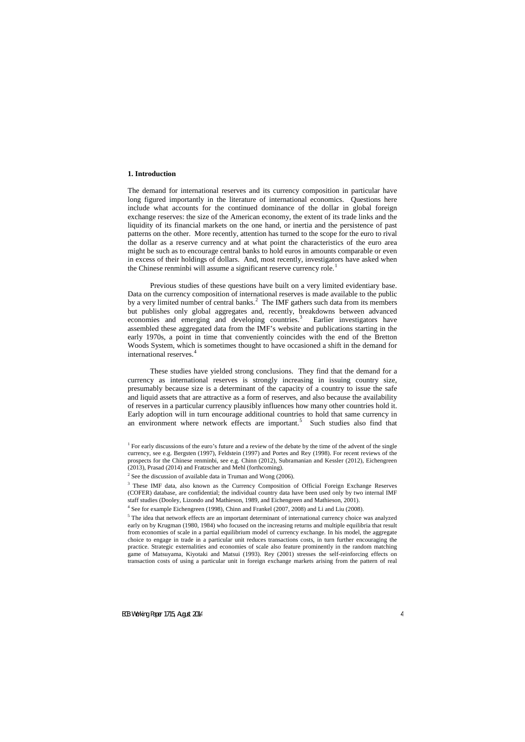## **1. Introduction**

The demand for international reserves and its currency composition in particular have long figured importantly in the literature of international economics. Questions here include what accounts for the continued dominance of the dollar in global foreign exchange reserves: the size of the American economy, the extent of its trade links and the liquidity of its financial markets on the one hand, or inertia and the persistence of past patterns on the other. More recently, attention has turned to the scope for the euro to rival the dollar as a reserve currency and at what point the characteristics of the euro area might be such as to encourage central banks to hold euros in amounts comparable or even in excess of their holdings of dollars. And, most recently, investigators have asked when the Chinese renminbi will assume a significant reserve currency role.<sup>[1](#page-5-0)</sup>

Previous studies of these questions have built on a very limited evidentiary base. Data on the currency composition of international reserves is made available to the public by a very limited number of central banks.<sup>[2](#page-5-1)</sup> The IMF gathers such data from its members but publishes only global aggregates and, recently, breakdowns between advanced economies and emerging and developing countries.<sup>[3](#page-5-2)</sup> Earlier investigators have assembled these aggregated data from the IMF's website and publications starting in the early 1970s, a point in time that conveniently coincides with the end of the Bretton Woods System, which is sometimes thought to have occasioned a shift in the demand for international reserves.<sup>[4](#page-5-3)</sup>

These studies have yielded strong conclusions. They find that the demand for a currency as international reserves is strongly increasing in issuing country size, presumably because size is a determinant of the capacity of a country to issue the safe and liquid assets that are attractive as a form of reserves, and also because the availability of reserves in a particular currency plausibly influences how many other countries hold it. Early adoption will in turn encourage additional countries to hold that same currency in an environment where network effects are important.<sup>[5](#page-5-4)</sup> Such studies also find that

<sup>&</sup>lt;sup>1</sup> For early discussions of the euro's future and a review of the debate by the time of the advent of the single currency, see e.g. Bergsten (1997), Feldstein (1997) and Portes and Rey (1998). For recent reviews of the prospects for the Chinese renminbi, see e.g. Chinn (2012), Subramanian and Kessler (2012), Eichengreen (2013), Prasad (2014) and Fratzscher and Mehl (forthcoming).

<sup>&</sup>lt;sup>2</sup> See the discussion of available data in Truman and Wong (2006).

<sup>&</sup>lt;sup>3</sup> These IMF data, also known as the Currency Composition of Official Foreign Exchange Reserves (COFER) database, are confidential; the individual country data have been used only by two internal IMF staff studies (Dooley, Lizondo and Mathieson, 1989, and Eichengreen and Mathieson, 2001).

<sup>4</sup> See for example Eichengreen (1998), Chinn and Frankel (2007, 2008) and Li and Liu (2008).

<span id="page-5-4"></span><span id="page-5-3"></span><span id="page-5-2"></span><span id="page-5-1"></span><span id="page-5-0"></span><sup>&</sup>lt;sup>5</sup> The idea that network effects are an important determinant of international currency choice was analyzed early on by Krugman (1980, 1984) who focused on the increasing returns and multiple equilibria that result from economies of scale in a partial equilibrium model of currency exchange. In his model, the aggregate choice to engage in trade in a particular unit reduces transactions costs, in turn further encouraging the practice. Strategic externalities and economies of scale also feature prominently in the random matching game of Matsuyama, Kiyotaki and Matsui (1993). Rey (2001) stresses the self-reinforcing effects on transaction costs of using a particular unit in foreign exchange markets arising from the pattern of real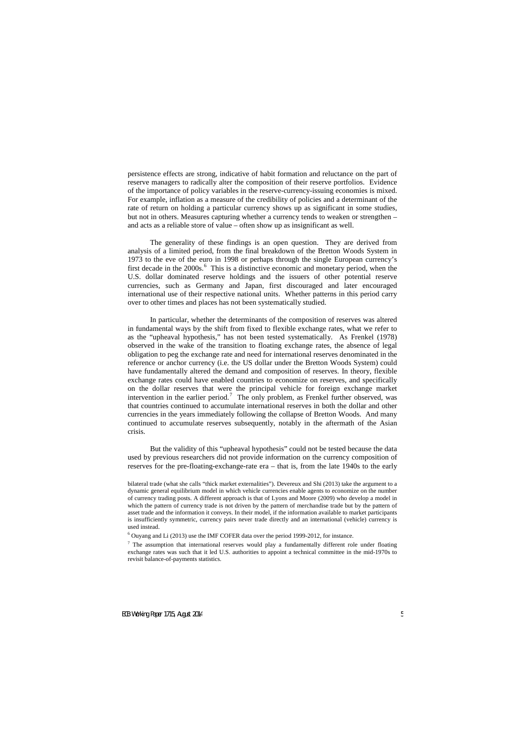persistence effects are strong, indicative of habit formation and reluctance on the part of reserve managers to radically alter the composition of their reserve portfolios. Evidence of the importance of policy variables in the reserve-currency-issuing economies is mixed. For example, inflation as a measure of the credibility of policies and a determinant of the rate of return on holding a particular currency shows up as significant in some studies, but not in others. Measures capturing whether a currency tends to weaken or strengthen – and acts as a reliable store of value – often show up as insignificant as well.

The generality of these findings is an open question. They are derived from analysis of a limited period, from the final breakdown of the Bretton Woods System in 1973 to the eve of the euro in 1998 or perhaps through the single European currency's first decade in the 2000s.<sup>[6](#page-6-0)</sup> This is a distinctive economic and monetary period, when the U.S. dollar dominated reserve holdings and the issuers of other potential reserve currencies, such as Germany and Japan, first discouraged and later encouraged international use of their respective national units. Whether patterns in this period carry over to other times and places has not been systematically studied.

In particular, whether the determinants of the composition of reserves was altered in fundamental ways by the shift from fixed to flexible exchange rates, what we refer to as the "upheaval hypothesis," has not been tested systematically. As Frenkel (1978) observed in the wake of the transition to floating exchange rates, the absence of legal obligation to peg the exchange rate and need for international reserves denominated in the reference or anchor currency (i.e. the US dollar under the Bretton Woods System) could have fundamentally altered the demand and composition of reserves. In theory, flexible exchange rates could have enabled countries to economize on reserves, and specifically on the dollar reserves that were the principal vehicle for foreign exchange market intervention in the earlier period.<sup>[7](#page-6-1)</sup> The only problem, as Frenkel further observed, was that countries continued to accumulate international reserves in both the dollar and other currencies in the years immediately following the collapse of Bretton Woods. And many continued to accumulate reserves subsequently, notably in the aftermath of the Asian crisis.

But the validity of this "upheaval hypothesis" could not be tested because the data used by previous researchers did not provide information on the currency composition of reserves for the pre-floating-exchange-rate era – that is, from the late 1940s to the early

bilateral trade (what she calls "thick market externalities"). Devereux and Shi (2013) take the argument to a dynamic general equilibrium model in which vehicle currencies enable agents to economize on the number of currency trading posts. A different approach is that of Lyons and Moore (2009) who develop a model in which the pattern of currency trade is not driven by the pattern of merchandise trade but by the pattern of asset trade and the information it conveys. In their model, if the information available to market participants is insufficiently symmetric, currency pairs never trade directly and an international (vehicle) currency is used instead.

 $6$  Ouyang and Li (2013) use the IMF COFER data over the period 1999-2012, for instance.

<span id="page-6-1"></span><span id="page-6-0"></span> $7$  The assumption that international reserves would play a fundamentally different role under floating exchange rates was such that it led U.S. authorities to appoint a technical committee in the mid-1970s to revisit balance-of-payments statistics.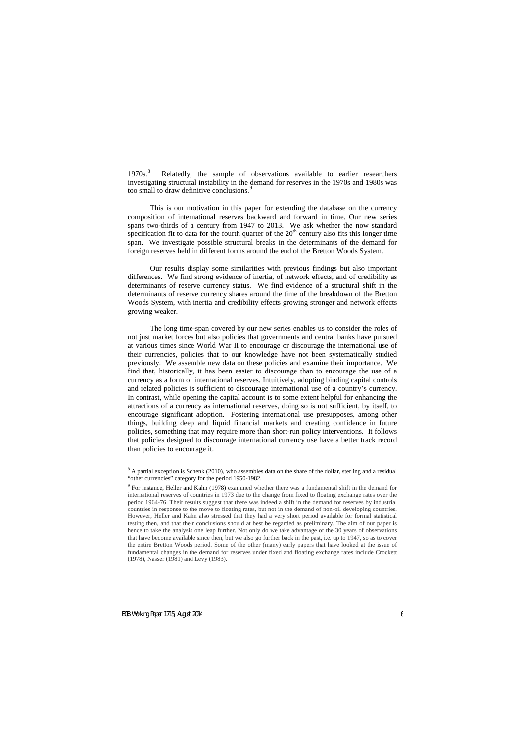$1970s.<sup>8</sup>$  $1970s.<sup>8</sup>$  $1970s.<sup>8</sup>$  Relatedly, the sample of observations available to earlier researchers investigating structural instability in the demand for reserves in the 1970s and 1980s was too small to draw definitive conclusions.<sup>[9](#page-7-1)</sup>

This is our motivation in this paper for extending the database on the currency composition of international reserves backward and forward in time. Our new series spans two-thirds of a century from 1947 to 2013. We ask whether the now standard specification fit to data for the fourth quarter of the  $20<sup>th</sup>$  century also fits this longer time span. We investigate possible structural breaks in the determinants of the demand for foreign reserves held in different forms around the end of the Bretton Woods System.

Our results display some similarities with previous findings but also important differences. We find strong evidence of inertia, of network effects, and of credibility as determinants of reserve currency status. We find evidence of a structural shift in the determinants of reserve currency shares around the time of the breakdown of the Bretton Woods System, with inertia and credibility effects growing stronger and network effects growing weaker.

The long time-span covered by our new series enables us to consider the roles of not just market forces but also policies that governments and central banks have pursued at various times since World War II to encourage or discourage the international use of their currencies, policies that to our knowledge have not been systematically studied previously. We assemble new data on these policies and examine their importance. We find that, historically, it has been easier to discourage than to encourage the use of a currency as a form of international reserves. Intuitively, adopting binding capital controls and related policies is sufficient to discourage international use of a country's currency. In contrast, while opening the capital account is to some extent helpful for enhancing the attractions of a currency as international reserves, doing so is not sufficient, by itself, to encourage significant adoption. Fostering international use presupposes, among other things, building deep and liquid financial markets and creating confidence in future policies, something that may require more than short-run policy interventions. It follows that policies designed to discourage international currency use have a better track record than policies to encourage it.

<sup>&</sup>lt;sup>8</sup> A partial exception is Schenk (2010), who assembles data on the share of the dollar, sterling and a residual "other currencies" category for the period 1950-1982.

<span id="page-7-1"></span><span id="page-7-0"></span><sup>9</sup> For instance, Heller and Kahn (1978) examined whether there was a fundamental shift in the demand for international reserves of countries in 1973 due to the change from fixed to floating exchange rates over the period 1964-76. Their results suggest that there was indeed a shift in the demand for reserves by industrial countries in response to the move to floating rates, but not in the demand of non-oil developing countries. However, Heller and Kahn also stressed that they had a very short period available for formal statistical testing then, and that their conclusions should at best be regarded as preliminary. The aim of our paper is hence to take the analysis one leap further. Not only do we take advantage of the 30 years of observations that have become available since then, but we also go further back in the past, i.e. up to 1947, so as to cover the entire Bretton Woods period. Some of the other (many) early papers that have looked at the issue of fundamental changes in the demand for reserves under fixed and floating exchange rates include Crockett (1978), Nasser (1981) and Levy (1983).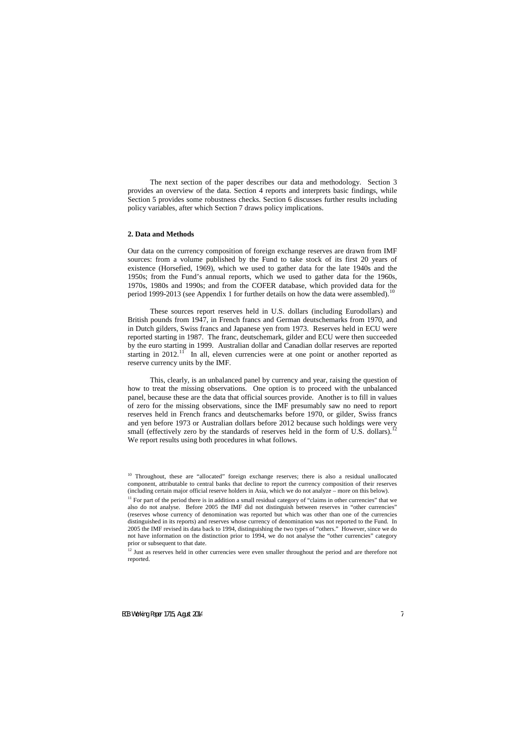The next section of the paper describes our data and methodology. Section 3 provides an overview of the data. Section 4 reports and interprets basic findings, while Section 5 provides some robustness checks. Section 6 discusses further results including policy variables, after which Section 7 draws policy implications.

## **2. Data and Methods**

Our data on the currency composition of foreign exchange reserves are drawn from IMF sources: from a volume published by the Fund to take stock of its first 20 years of existence (Horsefied, 1969), which we used to gather data for the late 1940s and the 1950s; from the Fund's annual reports, which we used to gather data for the 1960s, 1970s, 1980s and 1990s; and from the COFER database, which provided data for the period 1999-2013 (see Appendix 1 for further details on how the data were assembled).<sup>[10](#page-8-0)</sup>

These sources report reserves held in U.S. dollars (including Eurodollars) and British pounds from 1947, in French francs and German deutschemarks from 1970, and in Dutch gilders, Swiss francs and Japanese yen from 1973. Reserves held in ECU were reported starting in 1987. The franc, deutschemark, gilder and ECU were then succeeded by the euro starting in 1999. Australian dollar and Canadian dollar reserves are reported starting in 2012.<sup>11</sup> In all, eleven currencies were at one point or another reported as reserve currency units by the IMF.

This, clearly, is an unbalanced panel by currency and year, raising the question of how to treat the missing observations. One option is to proceed with the unbalanced panel, because these are the data that official sources provide. Another is to fill in values of zero for the missing observations, since the IMF presumably saw no need to report reserves held in French francs and deutschemarks before 1970, or gilder, Swiss francs and yen before 1973 or Australian dollars before 2012 because such holdings were very small (effectively zero by the standards of reserves held in the form of U.S. dollars).<sup>12</sup> We report results using both procedures in what follows.

<sup>&</sup>lt;sup>10</sup> Throughout, these are "allocated" foreign exchange reserves; there is also a residual unallocated component, attributable to central banks that decline to report the currency composition of their reserves (including certain major official reserve holders in Asia, which we do not analyze – more on this below).

 $11$  For part of the period there is in addition a small residual category of "claims in other currencies" that we also do not analyse. Before 2005 the IMF did not distinguish between reserves in "other currencies" (reserves whose currency of denomination was reported but which was other than one of the currencies distinguished in its reports) and reserves whose currency of denomination was not reported to the Fund. In 2005 the IMF revised its data back to 1994, distinguishing the two types of "others." However, since we do not have information on the distinction prior to 1994, we do not analyse the "other currencies" category prior or subsequent to that date.

<span id="page-8-2"></span><span id="page-8-1"></span><span id="page-8-0"></span><sup>&</sup>lt;sup>12</sup> Just as reserves held in other currencies were even smaller throughout the period and are therefore not reported.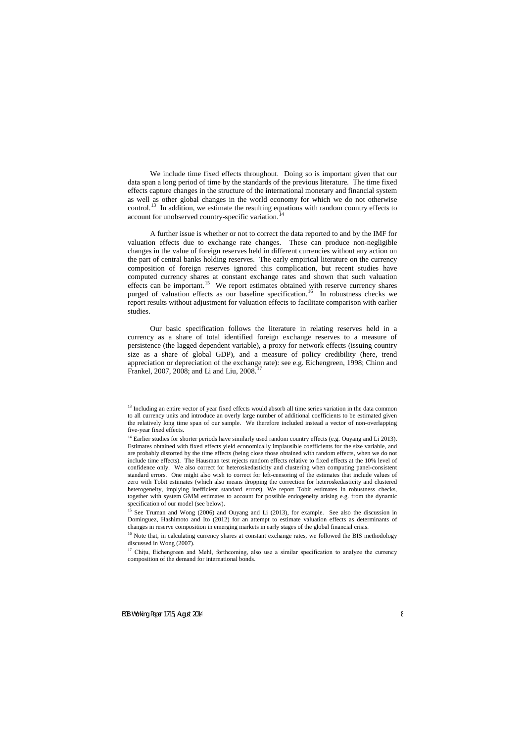We include time fixed effects throughout. Doing so is important given that our data span a long period of time by the standards of the previous literature. The time fixed effects capture changes in the structure of the international monetary and financial system as well as other global changes in the world economy for which we do not otherwise control.<sup>[13](#page-9-0)</sup> In addition, we estimate the resulting equations with random country effects to account for unobserved country-specific variation.<sup>14</sup>

A further issue is whether or not to correct the data reported to and by the IMF for valuation effects due to exchange rate changes. These can produce non-negligible changes in the value of foreign reserves held in different currencies without any action on the part of central banks holding reserves. The early empirical literature on the currency composition of foreign reserves ignored this complication, but recent studies have computed currency shares at constant exchange rates and shown that such valuation effects can be important.<sup>15</sup> We report estimates obtained with reserve currency shares purged of valuation effects as our baseline specification.<sup>16</sup> In robustness checks we report results without adjustment for valuation effects to facilitate comparison with earlier studies.

Our basic specification follows the literature in relating reserves held in a currency as a share of total identified foreign exchange reserves to a measure of persistence (the lagged dependent variable), a proxy for network effects (issuing country size as a share of global GDP), and a measure of policy credibility (here, trend appreciation or depreciation of the exchange rate): see e.g. Eichengreen, 1998; Chinn and Frankel, 2007, 2008; and Li and Liu, 2008.<sup>[17](#page-9-4)</sup>

<sup>&</sup>lt;sup>13</sup> Including an entire vector of year fixed effects would absorb all time series variation in the data common to all currency units and introduce an overly large number of additional coefficients to be estimated given the relatively long time span of our sample. We therefore included instead a vector of non-overlapping five-year fixed effects.

<sup>&</sup>lt;sup>14</sup> Earlier studies for shorter periods have similarly used random country effects (e.g. Ouyang and Li 2013). Estimates obtained with fixed effects yield economically implausible coefficients for the size variable, and are probably distorted by the time effects (being close those obtained with random effects, when we do not include time effects). The Hausman test rejects random effects relative to fixed effects at the 10% level of confidence only. We also correct for heteroskedasticity and clustering when computing panel-consistent standard errors. One might also wish to correct for left-censoring of the estimates that include values of zero with Tobit estimates (which also means dropping the correction for heteroskedasticity and clustered heterogeneity, implying inefficient standard errors). We report Tobit estimates in robustness checks, together with system GMM estimates to account for possible endogeneity arising e.g. from the dynamic specification of our model (see below).

<sup>&</sup>lt;sup>15</sup> See Truman and Wong (2006) and Ouyang and Li (2013), for example. See also the discussion in Dominguez, Hashimoto and Ito (2012) for an attempt to estimate valuation effects as determinants of changes in reserve composition in emerging markets in early stages of the global financial crisis.

<span id="page-9-0"></span><sup>&</sup>lt;sup>16</sup> Note that, in calculating currency shares at constant exchange rates, we followed the BIS methodology discussed in Wong (2007).

<span id="page-9-4"></span><span id="page-9-3"></span><span id="page-9-2"></span><span id="page-9-1"></span><sup>&</sup>lt;sup>17</sup> Chitu, Eichengreen and Mehl, forthcoming, also use a similar specification to analyze the currency composition of the demand for international bonds.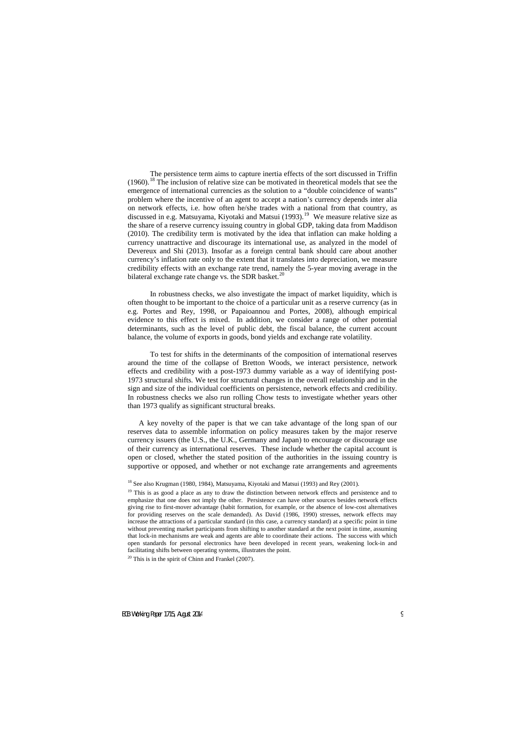The persistence term aims to capture inertia effects of the sort discussed in Triffin  $(1960).$ <sup>[18](#page-10-0)</sup> The inclusion of relative size can be motivated in theoretical models that see the emergence of international currencies as the solution to a "double coincidence of wants" problem where the incentive of an agent to accept a nation's currency depends inter alia on network effects, i.e. how often he/she trades with a national from that country, as discussed in e.g. Matsuyama, Kiyotaki and Matsui (1993).<sup>19</sup> We measure relative size as the share of a reserve currency issuing country in global GDP, taking data from Maddison (2010). The credibility term is motivated by the idea that inflation can make holding a currency unattractive and discourage its international use, as analyzed in the model of Devereux and Shi (2013). Insofar as a foreign central bank should care about another currency's inflation rate only to the extent that it translates into depreciation, we measure credibility effects with an exchange rate trend, namely the 5-year moving average in the bilateral exchange rate change vs. the SDR basket.<sup>[20](#page-10-2)</sup>

In robustness checks, we also investigate the impact of market liquidity, which is often thought to be important to the choice of a particular unit as a reserve currency (as in e.g. Portes and Rey, 1998, or Papaioannou and Portes, 2008), although empirical evidence to this effect is mixed. In addition, we consider a range of other potential determinants, such as the level of public debt, the fiscal balance, the current account balance, the volume of exports in goods, bond yields and exchange rate volatility.

To test for shifts in the determinants of the composition of international reserves around the time of the collapse of Bretton Woods, we interact persistence, network effects and credibility with a post-1973 dummy variable as a way of identifying post-1973 structural shifts. We test for structural changes in the overall relationship and in the sign and size of the individual coefficients on persistence, network effects and credibility. In robustness checks we also run rolling Chow tests to investigate whether years other than 1973 qualify as significant structural breaks.

A key novelty of the paper is that we can take advantage of the long span of our reserves data to assemble information on policy measures taken by the major reserve currency issuers (the U.S., the U.K., Germany and Japan) to encourage or discourage use of their currency as international reserves. These include whether the capital account is open or closed, whether the stated position of the authorities in the issuing country is supportive or opposed, and whether or not exchange rate arrangements and agreements

<span id="page-10-2"></span><span id="page-10-1"></span><span id="page-10-0"></span> $20$  This is in the spirit of Chinn and Frankel (2007).

<sup>&</sup>lt;sup>18</sup> See also Krugman (1980, 1984), Matsuyama, Kiyotaki and Matsui (1993) and Rey (2001).

 $19$  This is as good a place as any to draw the distinction between network effects and persistence and to emphasize that one does not imply the other. Persistence can have other sources besides network effects giving rise to first-mover advantage (habit formation, for example, or the absence of low-cost alternatives for providing reserves on the scale demanded). As David (1986, 1990) stresses, network effects may increase the attractions of a particular standard (in this case, a currency standard) at a specific point in time without preventing market participants from shifting to another standard at the next point in time, assuming that lock-in mechanisms are weak and agents are able to coordinate their actions. The success with which open standards for personal electronics have been developed in recent years, weakening lock-in and facilitating shifts between operating systems, illustrates the point.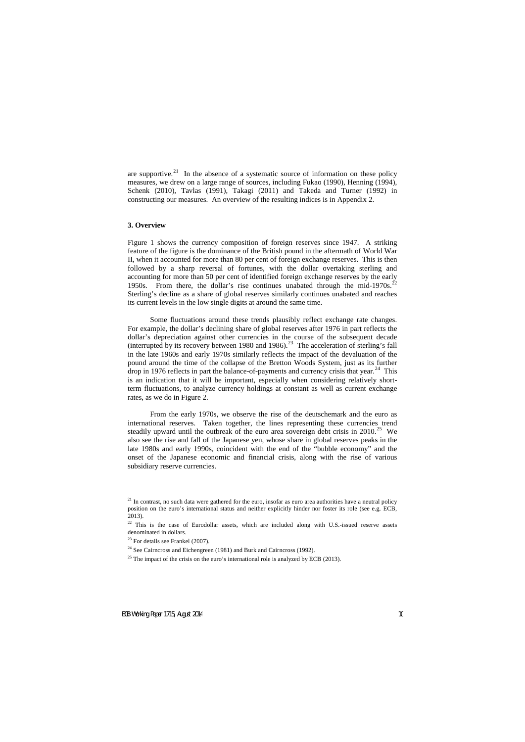are supportive.<sup>[21](#page-11-0)</sup> In the absence of a systematic source of information on these policy measures, we drew on a large range of sources, including Fukao (1990), Henning (1994), Schenk (2010), Tavlas (1991), Takagi (2011) and Takeda and Turner (1992) in constructing our measures. An overview of the resulting indices is in Appendix 2.

## **3. Overview**

Figure 1 shows the currency composition of foreign reserves since 1947. A striking feature of the figure is the dominance of the British pound in the aftermath of World War II, when it accounted for more than 80 per cent of foreign exchange reserves. This is then followed by a sharp reversal of fortunes, with the dollar overtaking sterling and accounting for more than 50 per cent of identified foreign exchange reserves by the early 1950s. From there, the dollar's rise continues unabated through the mid-1970s.<sup>22</sup> Sterling's decline as a share of global reserves similarly continues unabated and reaches its current levels in the low single digits at around the same time.

Some fluctuations around these trends plausibly reflect exchange rate changes. For example, the dollar's declining share of global reserves after 1976 in part reflects the dollar's depreciation against other currencies in the course of the subsequent decade (interrupted by its recovery between  $1980$  and  $1986$ ).<sup>[23](#page-11-2)</sup> The acceleration of sterling's fall in the late 1960s and early 1970s similarly reflects the impact of the devaluation of the pound around the time of the collapse of the Bretton Woods System, just as its further drop in 1976 reflects in part the balance-of-payments and currency crisis that year.<sup>24</sup> This is an indication that it will be important, especially when considering relatively shortterm fluctuations, to analyze currency holdings at constant as well as current exchange rates, as we do in Figure 2.

From the early 1970s, we observe the rise of the deutschemark and the euro as international reserves. Taken together, the lines representing these currencies trend steadily upward until the outbreak of the euro area sovereign debt crisis in  $2010$ <sup>[25](#page-11-4)</sup> We also see the rise and fall of the Japanese yen, whose share in global reserves peaks in the late 1980s and early 1990s, coincident with the end of the "bubble economy" and the onset of the Japanese economic and financial crisis, along with the rise of various subsidiary reserve currencies.

 $21$  In contrast, no such data were gathered for the euro, insofar as euro area authorities have a neutral policy position on the euro's international status and neither explicitly hinder nor foster its role (see e.g. ECB, 2013).

<sup>&</sup>lt;sup>22</sup> This is the case of Eurodollar assets, which are included along with U.S.-issued reserve assets denominated in dollars.

 $23$  For details see Frankel (2007).

<sup>&</sup>lt;sup>24</sup> See Cairncross and Eichengreen (1981) and Burk and Cairncross (1992).

<span id="page-11-4"></span><span id="page-11-3"></span><span id="page-11-2"></span><span id="page-11-1"></span><span id="page-11-0"></span> $25$  The impact of the crisis on the euro's international role is analyzed by ECB (2013).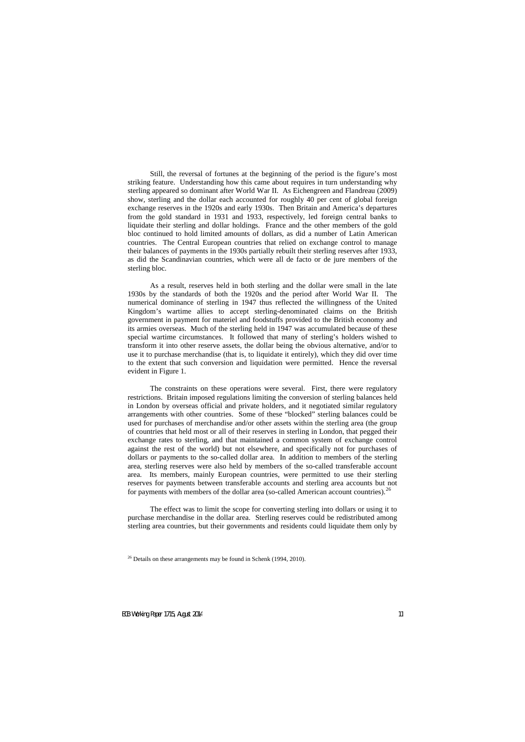Still, the reversal of fortunes at the beginning of the period is the figure's most striking feature. Understanding how this came about requires in turn understanding why sterling appeared so dominant after World War II. As Eichengreen and Flandreau (2009) show, sterling and the dollar each accounted for roughly 40 per cent of global foreign exchange reserves in the 1920s and early 1930s. Then Britain and America's departures from the gold standard in 1931 and 1933, respectively, led foreign central banks to liquidate their sterling and dollar holdings. France and the other members of the gold bloc continued to hold limited amounts of dollars, as did a number of Latin American countries. The Central European countries that relied on exchange control to manage their balances of payments in the 1930s partially rebuilt their sterling reserves after 1933, as did the Scandinavian countries, which were all de facto or de jure members of the sterling bloc.

As a result, reserves held in both sterling and the dollar were small in the late 1930s by the standards of both the 1920s and the period after World War II. The numerical dominance of sterling in 1947 thus reflected the willingness of the United Kingdom's wartime allies to accept sterling-denominated claims on the British government in payment for materiel and foodstuffs provided to the British economy and its armies overseas. Much of the sterling held in 1947 was accumulated because of these special wartime circumstances. It followed that many of sterling's holders wished to transform it into other reserve assets, the dollar being the obvious alternative, and/or to use it to purchase merchandise (that is, to liquidate it entirely), which they did over time to the extent that such conversion and liquidation were permitted. Hence the reversal evident in Figure 1.

The constraints on these operations were several. First, there were regulatory restrictions. Britain imposed regulations limiting the conversion of sterling balances held in London by overseas official and private holders, and it negotiated similar regulatory arrangements with other countries. Some of these "blocked" sterling balances could be used for purchases of merchandise and/or other assets within the sterling area (the group of countries that held most or all of their reserves in sterling in London, that pegged their exchange rates to sterling, and that maintained a common system of exchange control against the rest of the world) but not elsewhere, and specifically not for purchases of dollars or payments to the so-called dollar area. In addition to members of the sterling area, sterling reserves were also held by members of the so-called transferable account area. Its members, mainly European countries, were permitted to use their sterling reserves for payments between transferable accounts and sterling area accounts but not for payments with members of the dollar area (so-called American account countries).<sup>[26](#page-12-0)</sup>

The effect was to limit the scope for converting sterling into dollars or using it to purchase merchandise in the dollar area. Sterling reserves could be redistributed among sterling area countries, but their governments and residents could liquidate them only by

<span id="page-12-0"></span> $26$  Details on these arrangements may be found in Schenk (1994, 2010).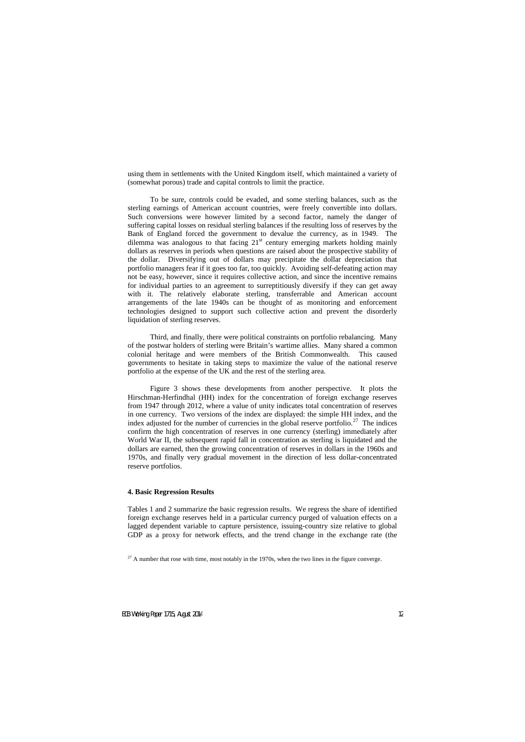using them in settlements with the United Kingdom itself, which maintained a variety of (somewhat porous) trade and capital controls to limit the practice.

To be sure, controls could be evaded, and some sterling balances, such as the sterling earnings of American account countries, were freely convertible into dollars. Such conversions were however limited by a second factor, namely the danger of suffering capital losses on residual sterling balances if the resulting loss of reserves by the Bank of England forced the government to devalue the currency, as in 1949. The dilemma was analogous to that facing  $21<sup>st</sup>$  century emerging markets holding mainly dollars as reserves in periods when questions are raised about the prospective stability of the dollar. Diversifying out of dollars may precipitate the dollar depreciation that portfolio managers fear if it goes too far, too quickly. Avoiding self-defeating action may not be easy, however, since it requires collective action, and since the incentive remains for individual parties to an agreement to surreptitiously diversify if they can get away with it. The relatively elaborate sterling, transferrable and American account arrangements of the late 1940s can be thought of as monitoring and enforcement technologies designed to support such collective action and prevent the disorderly liquidation of sterling reserves.

Third, and finally, there were political constraints on portfolio rebalancing. Many of the postwar holders of sterling were Britain's wartime allies. Many shared a common colonial heritage and were members of the British Commonwealth. This caused governments to hesitate in taking steps to maximize the value of the national reserve portfolio at the expense of the UK and the rest of the sterling area.

Figure 3 shows these developments from another perspective. It plots the Hirschman-Herfindhal (HH) index for the concentration of foreign exchange reserves from 1947 through 2012, where a value of unity indicates total concentration of reserves in one currency. Two versions of the index are displayed: the simple HH index, and the index adjusted for the number of currencies in the global reserve portfolio.<sup>27</sup> The indices confirm the high concentration of reserves in one currency (sterling) immediately after World War II, the subsequent rapid fall in concentration as sterling is liquidated and the dollars are earned, then the growing concentration of reserves in dollars in the 1960s and 1970s, and finally very gradual movement in the direction of less dollar-concentrated reserve portfolios.

## **4. Basic Regression Results**

Tables 1 and 2 summarize the basic regression results. We regress the share of identified foreign exchange reserves held in a particular currency purged of valuation effects on a lagged dependent variable to capture persistence, issuing-country size relative to global GDP as a proxy for network effects, and the trend change in the exchange rate (the

<span id="page-13-0"></span> $^{27}$  A number that rose with time, most notably in the 1970s, when the two lines in the figure converge.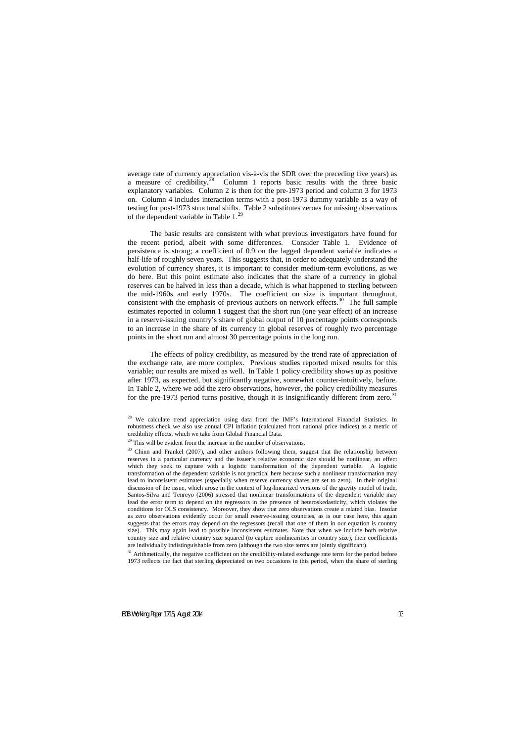average rate of currency appreciation vis-à-vis the SDR over the preceding five years) as a measure of credibility. $28$ Column 1 reports basic results with the three basic explanatory variables. Column 2 is then for the pre-1973 period and column 3 for 1973 on. Column 4 includes interaction terms with a post-1973 dummy variable as a way of testing for post-1973 structural shifts. Table 2 substitutes zeroes for missing observations of the dependent variable in Table  $1.^{29}$ 

The basic results are consistent with what previous investigators have found for the recent period, albeit with some differences. Consider Table 1. Evidence of persistence is strong; a coefficient of 0.9 on the lagged dependent variable indicates a half-life of roughly seven years. This suggests that, in order to adequately understand the evolution of currency shares, it is important to consider medium-term evolutions, as we do here. But this point estimate also indicates that the share of a currency in global reserves can be halved in less than a decade, which is what happened to sterling between the mid-1960s and early 1970s. The coefficient on size is important throughout, consistent with the emphasis of previous authors on network effects.<sup>30</sup> The full sample estimates reported in column 1 suggest that the short run (one year effect) of an increase in a reserve-issuing country's share of global output of 10 percentage points corresponds to an increase in the share of its currency in global reserves of roughly two percentage points in the short run and almost 30 percentage points in the long run.

The effects of policy credibility, as measured by the trend rate of appreciation of the exchange rate, are more complex. Previous studies reported mixed results for this variable; our results are mixed as well. In Table 1 policy credibility shows up as positive after 1973, as expected, but significantly negative, somewhat counter-intuitively, before. In Table 2, where we add the zero observations, however, the policy credibility measures for the pre-1973 period turns positive, though it is insignificantly different from zero.<sup>31</sup>

<span id="page-14-3"></span><span id="page-14-2"></span><span id="page-14-1"></span><span id="page-14-0"></span> $31$  Arithmetically, the negative coefficient on the credibility-related exchange rate term for the period before 1973 reflects the fact that sterling depreciated on two occasions in this period, when the share of sterling

<sup>&</sup>lt;sup>28</sup> We calculate trend appreciation using data from the IMF's International Financial Statistics. In robustness check we also use annual CPI inflation (calculated from national price indices) as a metric of credibility effects, which we take from Global Financial Data.

 $29$  This will be evident from the increase in the number of observations.

<sup>&</sup>lt;sup>30</sup> Chinn and Frankel (2007), and other authors following them, suggest that the relationship between reserves in a particular currency and the issuer's relative economic size should be nonlinear, an effect which they seek to capture with a logistic transformation of the dependent variable. A logistic transformation of the dependent variable is not practical here because such a nonlinear transformation may lead to inconsistent estimates (especially when reserve currency shares are set to zero). In their original discussion of the issue, which arose in the context of log-linearized versions of the gravity model of trade, Santos-Silva and Tenreyo (2006) stressed that nonlinear transformations of the dependent variable may lead the error term to depend on the regressors in the presence of heteroskedasticity, which violates the conditions for OLS consistency. Moreover, they show that zero observations create a related bias. Insofar as zero observations evidently occur for small reserve-issuing countries, as is our case here, this again suggests that the errors may depend on the regressors (recall that one of them in our equation is country size). This may again lead to possible inconsistent estimates. Note that when we include both relative country size and relative country size squared (to capture nonlinearities in country size), their coefficients are individually indistinguishable from zero (although the two size terms are jointly significant).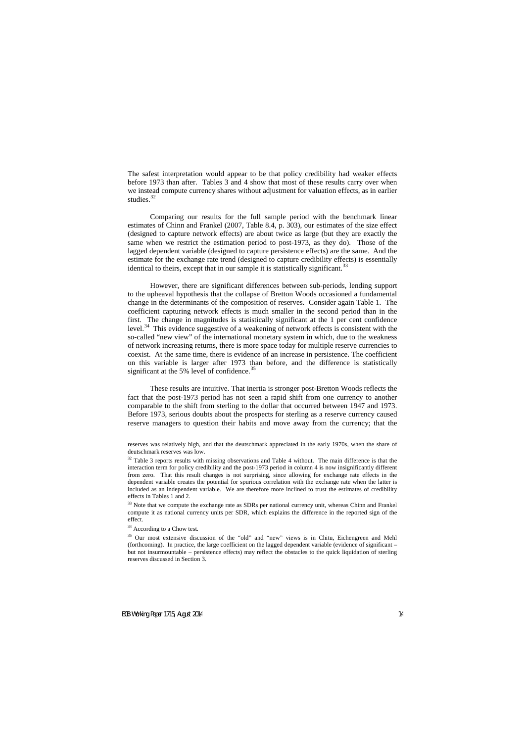The safest interpretation would appear to be that policy credibility had weaker effects before 1973 than after. Tables 3 and 4 show that most of these results carry over when we instead compute currency shares without adjustment for valuation effects, as in earlier studies. $32$ 

Comparing our results for the full sample period with the benchmark linear estimates of Chinn and Frankel (2007, Table 8.4, p. 303), our estimates of the size effect (designed to capture network effects) are about twice as large (but they are exactly the same when we restrict the estimation period to post-1973, as they do). Those of the lagged dependent variable (designed to capture persistence effects) are the same. And the estimate for the exchange rate trend (designed to capture credibility effects) is essentially identical to theirs, except that in our sample it is statistically significant.<sup>[33](#page-15-1)</sup>

However, there are significant differences between sub-periods, lending support to the upheaval hypothesis that the collapse of Bretton Woods occasioned a fundamental change in the determinants of the composition of reserves. Consider again Table 1. The coefficient capturing network effects is much smaller in the second period than in the first. The change in magnitudes is statistically significant at the 1 per cent confidence level.<sup>34</sup> This evidence suggestive of a weakening of network effects is consistent with the so-called "new view" of the international monetary system in which, due to the weakness of network increasing returns, there is more space today for multiple reserve currencies to coexist. At the same time, there is evidence of an increase in persistence. The coefficient on this variable is larger after 1973 than before, and the difference is statistically significant at the 5% level of confidence.<sup>[35](#page-15-3)</sup>

These results are intuitive. That inertia is stronger post-Bretton Woods reflects the fact that the post-1973 period has not seen a rapid shift from one currency to another comparable to the shift from sterling to the dollar that occurred between 1947 and 1973. Before 1973, serious doubts about the prospects for sterling as a reserve currency caused reserve managers to question their habits and move away from the currency; that the

<sup>33</sup> Note that we compute the exchange rate as SDRs per national currency unit, whereas Chinn and Frankel compute it as national currency units per SDR, which explains the difference in the reported sign of the effect.

<sup>34</sup> According to a Chow test.

reserves was relatively high, and that the deutschmark appreciated in the early 1970s, when the share of deutschmark reserves was low.

<sup>&</sup>lt;sup>32</sup> Table 3 reports results with missing observations and Table 4 without. The main difference is that the interaction term for policy credibility and the post-1973 period in column 4 is now insignificantly different from zero. That this result changes is not surprising, since allowing for exchange rate effects in the dependent variable creates the potential for spurious correlation with the exchange rate when the latter is included as an independent variable. We are therefore more inclined to trust the estimates of credibility effects in Tables 1 and 2.

<span id="page-15-3"></span><span id="page-15-2"></span><span id="page-15-1"></span><span id="page-15-0"></span><sup>&</sup>lt;sup>35</sup> Our most extensive discussion of the "old" and "new" views is in Chitu, Eichengreen and Mehl (forthcoming). In practice, the large coefficient on the lagged dependent variable (evidence of significant – but not insurmountable – persistence effects) may reflect the obstacles to the quick liquidation of sterling reserves discussed in Section 3.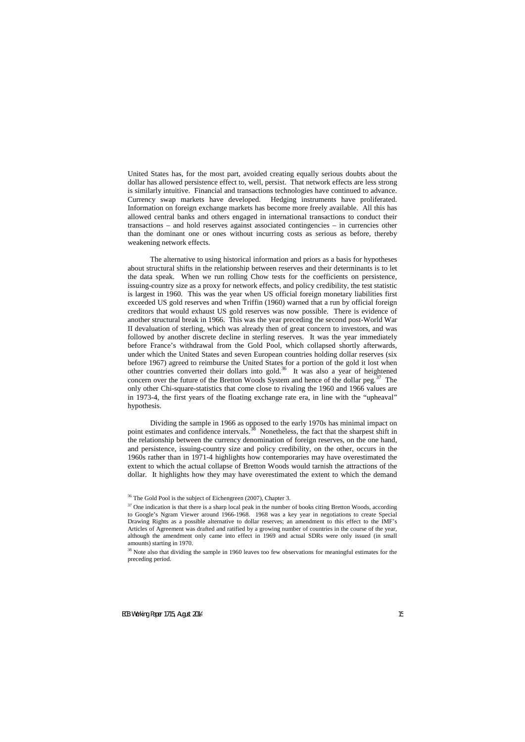United States has, for the most part, avoided creating equally serious doubts about the dollar has allowed persistence effect to, well, persist. That network effects are less strong is similarly intuitive. Financial and transactions technologies have continued to advance. Currency swap markets have developed. Hedging instruments have proliferated. Information on foreign exchange markets has become more freely available. All this has allowed central banks and others engaged in international transactions to conduct their transactions – and hold reserves against associated contingencies – in currencies other than the dominant one or ones without incurring costs as serious as before, thereby weakening network effects.

The alternative to using historical information and priors as a basis for hypotheses about structural shifts in the relationship between reserves and their determinants is to let the data speak. When we run rolling Chow tests for the coefficients on persistence, issuing-country size as a proxy for network effects, and policy credibility, the test statistic is largest in 1960. This was the year when US official foreign monetary liabilities first exceeded US gold reserves and when Triffin (1960) warned that a run by official foreign creditors that would exhaust US gold reserves was now possible. There is evidence of another structural break in 1966. This was the year preceding the second post-World War II devaluation of sterling, which was already then of great concern to investors, and was followed by another discrete decline in sterling reserves. It was the year immediately before France's withdrawal from the Gold Pool, which collapsed shortly afterwards, under which the United States and seven European countries holding dollar reserves (six before 1967) agreed to reimburse the United States for a portion of the gold it lost when other countries converted their dollars into gold.<sup>[36](#page-16-0)</sup> It was also a year of heightened concern over the future of the Bretton Woods System and hence of the dollar peg.<sup>37</sup> The only other Chi-square-statistics that come close to rivaling the 1960 and 1966 values are in 1973-4, the first years of the floating exchange rate era, in line with the "upheaval" hypothesis.

Dividing the sample in 1966 as opposed to the early 1970s has minimal impact on point estimates and confidence intervals.<sup>[38](#page-16-2)</sup> Nonetheless, the fact that the sharpest shift in the relationship between the currency denomination of foreign reserves, on the one hand, and persistence, issuing-country size and policy credibility, on the other, occurs in the 1960s rather than in 1971-4 highlights how contemporaries may have overestimated the extent to which the actual collapse of Bretton Woods would tarnish the attractions of the dollar. It highlights how they may have overestimated the extent to which the demand

<sup>36</sup> The Gold Pool is the subject of Eichengreen (2007), Chapter 3.

 $37$  One indication is that there is a sharp local peak in the number of books citing Bretton Woods, according to Google's Ngram Viewer around 1966-1968. 1968 was a key year in negotiations to create Special Drawing Rights as a possible alternative to dollar reserves; an amendment to this effect to the IMF's Articles of Agreement was drafted and ratified by a growing number of countries in the course of the year, although the amendment only came into effect in 1969 and actual SDRs were only issued (in small amounts) starting in 1970.

<span id="page-16-2"></span><span id="page-16-1"></span><span id="page-16-0"></span><sup>&</sup>lt;sup>38</sup> Note also that dividing the sample in 1960 leaves too few observations for meaningful estimates for the preceding period.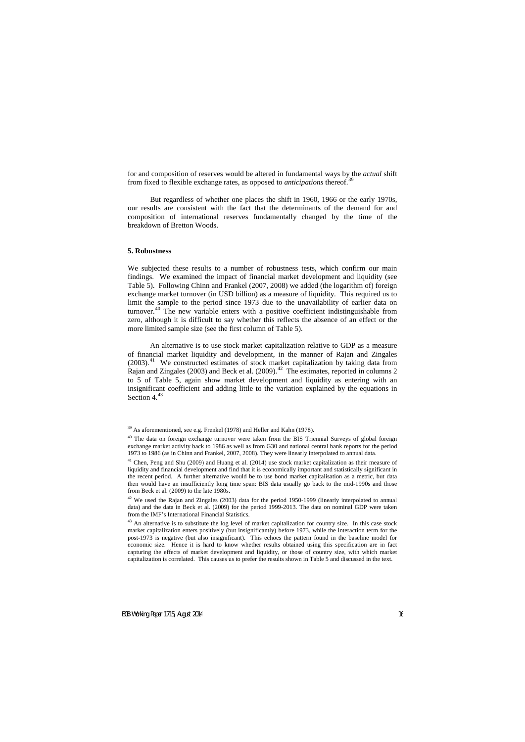for and composition of reserves would be altered in fundamental ways by the *actual* shift from fixed to flexible exchange rates, as opposed to *anticipations* thereof. [39](#page-17-0)

But regardless of whether one places the shift in 1960, 1966 or the early 1970s, our results are consistent with the fact that the determinants of the demand for and composition of international reserves fundamentally changed by the time of the breakdown of Bretton Woods.

## **5. Robustness**

We subjected these results to a number of robustness tests, which confirm our main findings. We examined the impact of financial market development and liquidity (see Table 5). Following Chinn and Frankel (2007, 2008) we added (the logarithm of) foreign exchange market turnover (in USD billion) as a measure of liquidity. This required us to limit the sample to the period since 1973 due to the unavailability of earlier data on turnover.[40](#page-17-1) The new variable enters with a positive coefficient indistinguishable from zero, although it is difficult to say whether this reflects the absence of an effect or the more limited sample size (see the first column of Table 5).

An alternative is to use stock market capitalization relative to GDP as a measure of financial market liquidity and development, in the manner of Rajan and Zingales  $(2003).<sup>41</sup>$  $(2003).<sup>41</sup>$  $(2003).<sup>41</sup>$  We constructed estimates of stock market capitalization by taking data from Rajan and Zingales (2003) and Beck et al. (2009).<sup>[42](#page-17-3)</sup> The estimates, reported in columns 2 to 5 of Table 5, again show market development and liquidity as entering with an insignificant coefficient and adding little to the variation explained by the equations in Section  $4^{43}$  $4^{43}$  $4^{43}$ 

<sup>&</sup>lt;sup>39</sup> As aforementioned, see e.g. Frenkel (1978) and Heller and Kahn (1978).

 $40$  The data on foreign exchange turnover were taken from the BIS Triennial Surveys of global foreign exchange market activity back to 1986 as well as from G30 and national central bank reports for the period 1973 to 1986 (as in Chinn and Frankel, 2007, 2008). They were linearly interpolated to annual data.

<sup>&</sup>lt;sup>41</sup> Chen, Peng and Shu (2009) and Huang et al. (2014) use stock market capitalization as their measure of liquidity and financial development and find that it is economically important and statistically significant in the recent period. A further alternative would be to use bond market capitalisation as a metric, but data then would have an insufficiently long time span: BIS data usually go back to the mid-1990s and those from Beck et al. (2009) to the late 1980s.

 $42$  We used the Rajan and Zingales (2003) data for the period 1950-1999 (linearly interpolated to annual data) and the data in Beck et al. (2009) for the period 1999-2013. The data on nominal GDP were taken from the IMF's International Financial Statistics.

<span id="page-17-4"></span><span id="page-17-3"></span><span id="page-17-2"></span><span id="page-17-1"></span><span id="page-17-0"></span><sup>&</sup>lt;sup>43</sup> An alternative is to substitute the log level of market capitalization for country size. In this case stock market capitalization enters positively (but insignificantly) before 1973, while the interaction term for the post-1973 is negative (but also insignificant). This echoes the pattern found in the baseline model for economic size. Hence it is hard to know whether results obtained using this specification are in fact capturing the effects of market development and liquidity, or those of country size, with which market capitalization is correlated. This causes us to prefer the results shown in Table 5 and discussed in the text.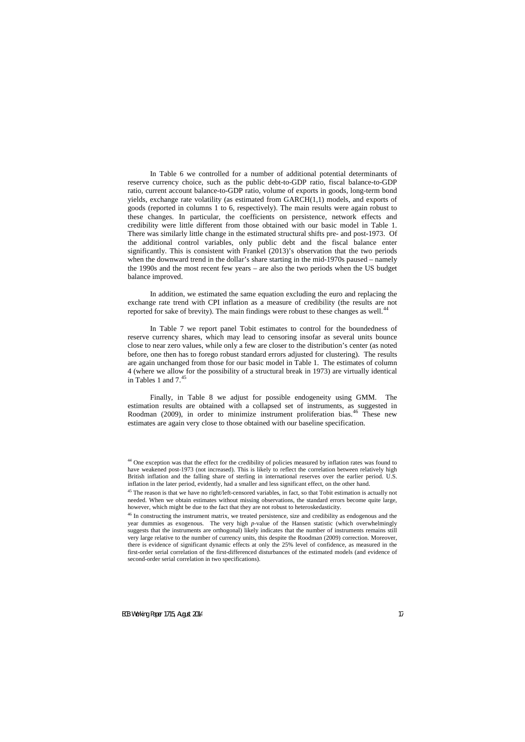In Table 6 we controlled for a number of additional potential determinants of reserve currency choice, such as the public debt-to-GDP ratio, fiscal balance-to-GDP ratio, current account balance-to-GDP ratio, volume of exports in goods, long-term bond yields, exchange rate volatility (as estimated from GARCH(1,1) models, and exports of goods (reported in columns 1 to 6, respectively). The main results were again robust to these changes. In particular, the coefficients on persistence, network effects and credibility were little different from those obtained with our basic model in Table 1. There was similarly little change in the estimated structural shifts pre- and post-1973. Of the additional control variables, only public debt and the fiscal balance enter significantly. This is consistent with Frankel (2013)'s observation that the two periods when the downward trend in the dollar's share starting in the mid-1970s paused – namely the 1990s and the most recent few years – are also the two periods when the US budget balance improved.

In addition, we estimated the same equation excluding the euro and replacing the exchange rate trend with CPI inflation as a measure of credibility (the results are not reported for sake of brevity). The main findings were robust to these changes as well.<sup>[44](#page-18-0)</sup>

In Table 7 we report panel Tobit estimates to control for the boundedness of reserve currency shares, which may lead to censoring insofar as several units bounce close to near zero values, while only a few are closer to the distribution's center (as noted before, one then has to forego robust standard errors adjusted for clustering). The results are again unchanged from those for our basic model in Table 1. The estimates of column 4 (where we allow for the possibility of a structural break in 1973) are virtually identical in Tables 1 and  $7<sup>45</sup>$  $7<sup>45</sup>$  $7<sup>45</sup>$ 

Finally, in Table 8 we adjust for possible endogeneity using GMM. The estimation results are obtained with a collapsed set of instruments, as suggested in Roodman (2009), in order to minimize instrument proliferation bias.<sup>[46](#page-18-2)</sup> These new estimates are again very close to those obtained with our baseline specification.

<sup>&</sup>lt;sup>44</sup> One exception was that the effect for the credibility of policies measured by inflation rates was found to have weakened post-1973 (not increased). This is likely to reflect the correlation between relatively high British inflation and the falling share of sterling in international reserves over the earlier period. U.S. inflation in the later period, evidently, had a smaller and less significant effect, on the other hand.

 $45$  The reason is that we have no right/left-censored variables, in fact, so that Tobit estimation is actually not needed. When we obtain estimates without missing observations, the standard errors become quite large, however, which might be due to the fact that they are not robust to heteroskedasticity.

<span id="page-18-2"></span><span id="page-18-1"></span><span id="page-18-0"></span><sup>&</sup>lt;sup>46</sup> In constructing the instrument matrix, we treated persistence, size and credibility as endogenous and the year dummies as exogenous. The very high *p*-value of the Hansen statistic (which overwhelmingly suggests that the instruments are orthogonal) likely indicates that the number of instruments remains still very large relative to the number of currency units, this despite the Roodman (2009) correction. Moreover, there is evidence of significant dynamic effects at only the 25% level of confidence, as measured in the first-order serial correlation of the first-differenced disturbances of the estimated models (and evidence of second-order serial correlation in two specifications).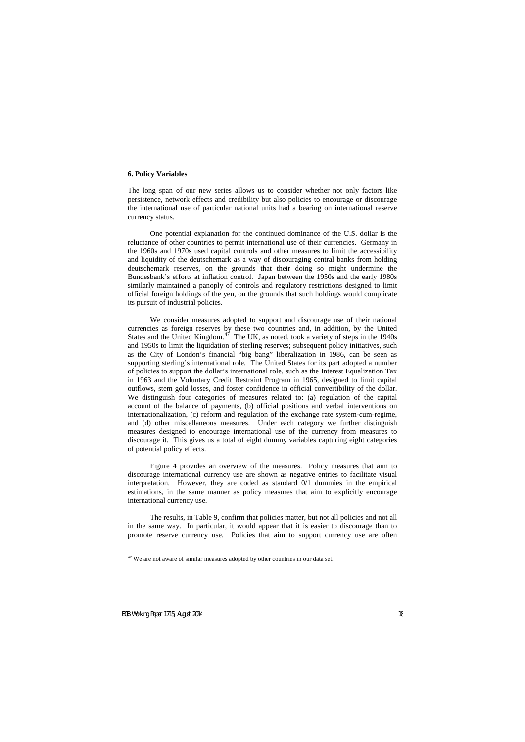## **6. Policy Variables**

The long span of our new series allows us to consider whether not only factors like persistence, network effects and credibility but also policies to encourage or discourage the international use of particular national units had a bearing on international reserve currency status.

One potential explanation for the continued dominance of the U.S. dollar is the reluctance of other countries to permit international use of their currencies. Germany in the 1960s and 1970s used capital controls and other measures to limit the accessibility and liquidity of the deutschemark as a way of discouraging central banks from holding deutschemark reserves, on the grounds that their doing so might undermine the Bundesbank's efforts at inflation control. Japan between the 1950s and the early 1980s similarly maintained a panoply of controls and regulatory restrictions designed to limit official foreign holdings of the yen, on the grounds that such holdings would complicate its pursuit of industrial policies.

We consider measures adopted to support and discourage use of their national currencies as foreign reserves by these two countries and, in addition, by the United States and the United Kingdom.<sup>[47](#page-19-0)</sup> The UK, as noted, took a variety of steps in the  $1940s$ and 1950s to limit the liquidation of sterling reserves; subsequent policy initiatives, such as the City of London's financial "big bang" liberalization in 1986, can be seen as supporting sterling's international role. The United States for its part adopted a number of policies to support the dollar's international role, such as the Interest Equalization Tax in 1963 and the Voluntary Credit Restraint Program in 1965, designed to limit capital outflows, stem gold losses, and foster confidence in official convertibility of the dollar. We distinguish four categories of measures related to: (a) regulation of the capital account of the balance of payments, (b) official positions and verbal interventions on internationalization, (c) reform and regulation of the exchange rate system-cum-regime, and (d) other miscellaneous measures. Under each category we further distinguish measures designed to encourage international use of the currency from measures to discourage it. This gives us a total of eight dummy variables capturing eight categories of potential policy effects.

Figure 4 provides an overview of the measures. Policy measures that aim to discourage international currency use are shown as negative entries to facilitate visual interpretation. However, they are coded as standard 0/1 dummies in the empirical estimations, in the same manner as policy measures that aim to explicitly encourage international currency use.

The results, in Table 9, confirm that policies matter, but not all policies and not all in the same way. In particular, it would appear that it is easier to discourage than to promote reserve currency use. Policies that aim to support currency use are often

<span id="page-19-0"></span> $47$  We are not aware of similar measures adopted by other countries in our data set.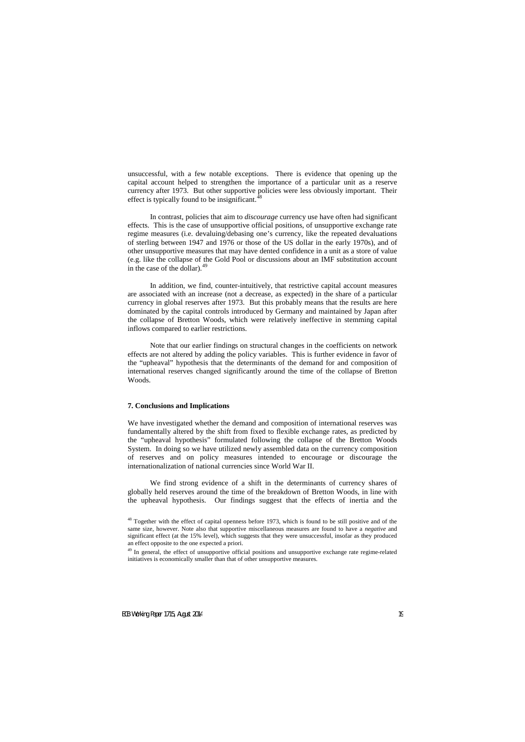unsuccessful, with a few notable exceptions. There is evidence that opening up the capital account helped to strengthen the importance of a particular unit as a reserve currency after 1973. But other supportive policies were less obviously important. Their effect is typically found to be insignificant. $\dot{ }$ 

In contrast, policies that aim to *discourage* currency use have often had significant effects. This is the case of unsupportive official positions, of unsupportive exchange rate regime measures (i.e. devaluing/debasing one's currency, like the repeated devaluations of sterling between 1947 and 1976 or those of the US dollar in the early 1970s), and of other unsupportive measures that may have dented confidence in a unit as a store of value (e.g. like the collapse of the Gold Pool or discussions about an IMF substitution account in the case of the dollar). $49$ 

In addition, we find, counter-intuitively, that restrictive capital account measures are associated with an increase (not a decrease, as expected) in the share of a particular currency in global reserves after 1973. But this probably means that the results are here dominated by the capital controls introduced by Germany and maintained by Japan after the collapse of Bretton Woods, which were relatively ineffective in stemming capital inflows compared to earlier restrictions.

Note that our earlier findings on structural changes in the coefficients on network effects are not altered by adding the policy variables. This is further evidence in favor of the "upheaval" hypothesis that the determinants of the demand for and composition of international reserves changed significantly around the time of the collapse of Bretton Woods.

## **7. Conclusions and Implications**

We have investigated whether the demand and composition of international reserves was fundamentally altered by the shift from fixed to flexible exchange rates, as predicted by the "upheaval hypothesis" formulated following the collapse of the Bretton Woods System. In doing so we have utilized newly assembled data on the currency composition of reserves and on policy measures intended to encourage or discourage the internationalization of national currencies since World War II.

We find strong evidence of a shift in the determinants of currency shares of globally held reserves around the time of the breakdown of Bretton Woods, in line with the upheaval hypothesis. Our findings suggest that the effects of inertia and the

<sup>&</sup>lt;sup>48</sup> Together with the effect of capital openness before 1973, which is found to be still positive and of the same size, however. Note also that supportive miscellaneous measures are found to have a *negative* and significant effect (at the 15% level), which suggests that they were unsuccessful, insofar as they produced an effect opposite to the one expected a priori.

<span id="page-20-1"></span><span id="page-20-0"></span><sup>&</sup>lt;sup>49</sup> In general, the effect of unsupportive official positions and unsupportive exchange rate regime-related initiatives is economically smaller than that of other unsupportive measures.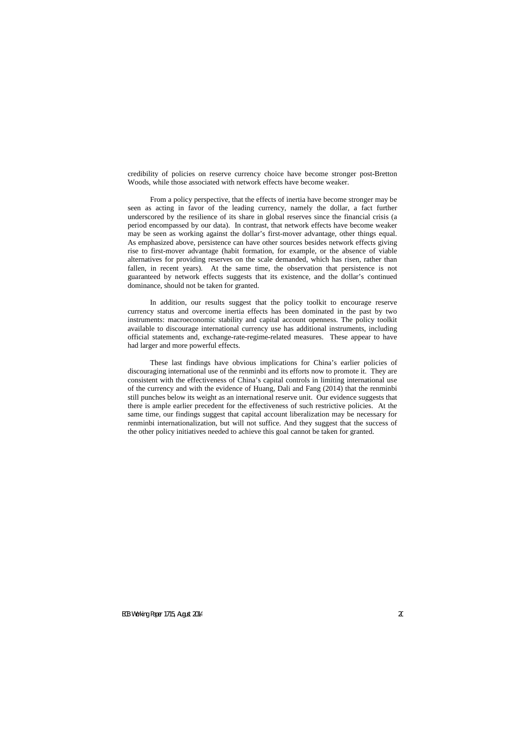credibility of policies on reserve currency choice have become stronger post-Bretton Woods, while those associated with network effects have become weaker.

From a policy perspective, that the effects of inertia have become stronger may be seen as acting in favor of the leading currency, namely the dollar, a fact further underscored by the resilience of its share in global reserves since the financial crisis (a period encompassed by our data). In contrast, that network effects have become weaker may be seen as working against the dollar's first-mover advantage, other things equal. As emphasized above, persistence can have other sources besides network effects giving rise to first-mover advantage (habit formation, for example, or the absence of viable alternatives for providing reserves on the scale demanded, which has risen, rather than fallen, in recent years). At the same time, the observation that persistence is not guaranteed by network effects suggests that its existence, and the dollar's continued dominance, should not be taken for granted.

In addition, our results suggest that the policy toolkit to encourage reserve currency status and overcome inertia effects has been dominated in the past by two instruments: macroeconomic stability and capital account openness. The policy toolkit available to discourage international currency use has additional instruments, including official statements and, exchange-rate-regime-related measures. These appear to have had larger and more powerful effects.

These last findings have obvious implications for China's earlier policies of discouraging international use of the renminbi and its efforts now to promote it. They are consistent with the effectiveness of China's capital controls in limiting international use of the currency and with the evidence of Huang, Dali and Fang (2014) that the renminbi still punches below its weight as an international reserve unit. Our evidence suggests that there is ample earlier precedent for the effectiveness of such restrictive policies. At the same time, our findings suggest that capital account liberalization may be necessary for renminbi internationalization, but will not suffice. And they suggest that the success of the other policy initiatives needed to achieve this goal cannot be taken for granted.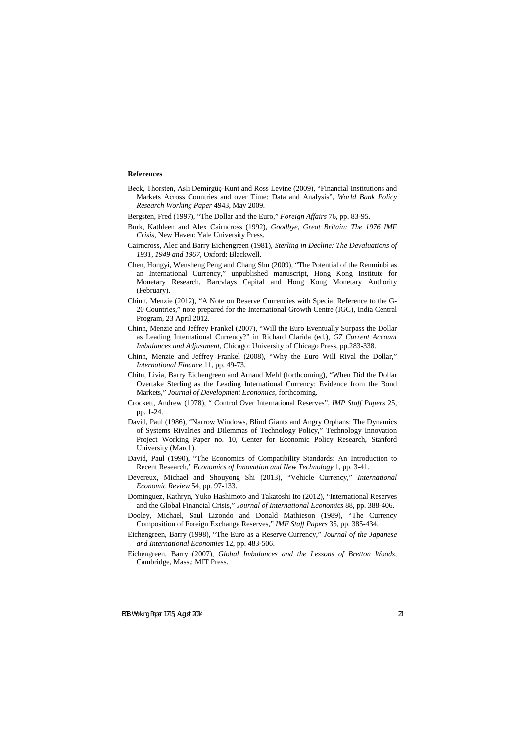## **References**

- Beck, Thorsten, Aslı Demirgüç-Kunt and Ross Levine (2009), "Financial Institutions and Markets Across Countries and over Time: Data and Analysis", *World Bank Policy Research Working Paper* 4943, May 2009.
- Bergsten, Fred (1997), "The Dollar and the Euro," *Foreign Affairs* 76, pp. 83-95.
- Burk, Kathleen and Alex Cairncross (1992), *Goodbye, Great Britain: The 1976 IMF Crisis*, New Haven: Yale University Press.
- Cairncross, Alec and Barry Eichengreen (1981), *Sterling in Decline: The Devaluations of 1931, 1949 and 1967*, Oxford: Blackwell.
- Chen, Hongyi, Wensheng Peng and Chang Shu (2009), "The Potential of the Renminbi as an International Currency," unpublished manuscript, Hong Kong Institute for Monetary Research, Barcvlays Capital and Hong Kong Monetary Authority (February).
- Chinn, Menzie (2012), "A Note on Reserve Currencies with Special Reference to the G-20 Countries," note prepared for the International Growth Centre (IGC), India Central Program, 23 April 2012.
- Chinn, Menzie and Jeffrey Frankel (2007), "Will the Euro Eventually Surpass the Dollar as Leading International Currency?" in Richard Clarida (ed.), *G7 Current Account Imbalances and Adjustment*, Chicago: University of Chicago Press, pp.283-338.
- Chinn, Menzie and Jeffrey Frankel (2008), "Why the Euro Will Rival the Dollar," *International Finance* 11, pp. 49-73.
- Chitu, Livia, Barry Eichengreen and Arnaud Mehl (forthcoming), "When Did the Dollar Overtake Sterling as the Leading International Currency: Evidence from the Bond Markets," *Journal of Development Economics*, forthcoming.
- Crockett, Andrew (1978), " Control Over International Reserves", *IMP Staff Papers* 25, pp. 1-24.
- David, Paul (1986), "Narrow Windows, Blind Giants and Angry Orphans: The Dynamics of Systems Rivalries and Dilemmas of Technology Policy," Technology Innovation Project Working Paper no. 10, Center for Economic Policy Research, Stanford University (March).
- David, Paul (1990), "The Economics of Compatibility Standards: An Introduction to Recent Research," *Economics of Innovation and New Technology* 1, pp. 3-41.
- Devereux, Michael and Shouyong Shi (2013), "Vehicle Currency," *International Economic Review* 54, pp. 97-133.
- Dominguez, Kathryn, Yuko Hashimoto and Takatoshi Ito (2012), "International Reserves and the Global Financial Crisis," *Journal of International Economics* 88, pp. 388-406.
- Dooley, Michael, Saul Lizondo and Donald Mathieson (1989), "The Currency Composition of Foreign Exchange Reserves," *IMF Staff Papers* 35, pp. 385-434.
- Eichengreen, Barry (1998), "The Euro as a Reserve Currency," *Journal of the Japanese and International Economies* 12, pp. 483-506.
- Eichengreen, Barry (2007), *Global Imbalances and the Lessons of Bretton Woods*, Cambridge, Mass.: MIT Press.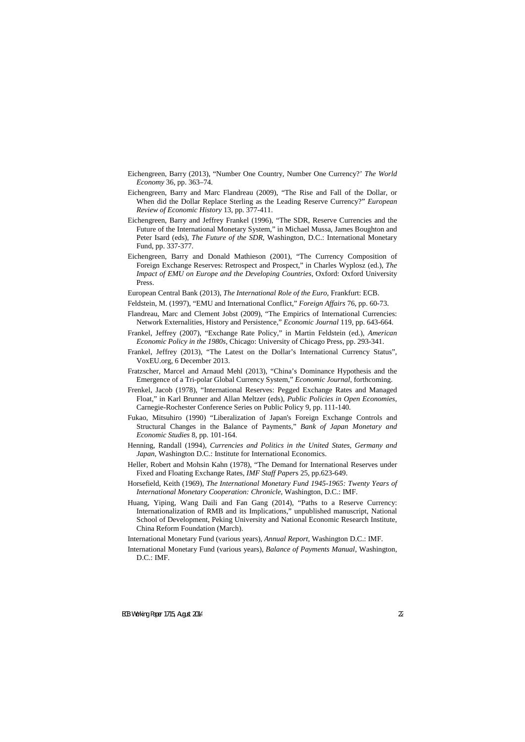- Eichengreen, Barry (2013), "Number One Country, Number One Currency?' *The World Economy* 36, pp. 363–74.
- Eichengreen, Barry and Marc Flandreau (2009), "The Rise and Fall of the Dollar, or When did the Dollar Replace Sterling as the Leading Reserve Currency?" *European Review of Economic History* 13, pp. 377-411.
- Eichengreen, Barry and Jeffrey Frankel (1996), "The SDR, Reserve Currencies and the Future of the International Monetary System," in Michael Mussa, James Boughton and Peter Isard (eds), *The Future of the SDR*, Washington, D.C.: International Monetary Fund, pp. 337-377.
- Eichengreen, Barry and Donald Mathieson (2001), "The Currency Composition of Foreign Exchange Reserves: Retrospect and Prospect," in Charles Wyplosz (ed.), *The Impact of EMU on Europe and the Developing Countries*, Oxford: Oxford University Press.
- European Central Bank (2013), *The International Role of the Euro*, Frankfurt: ECB.
- Feldstein, M. (1997), "EMU and International Conflict," *Foreign Affairs* 76, pp. 60-73.
- Flandreau, Marc and Clement Jobst (2009), "The Empirics of International Currencies: Network Externalities, History and Persistence," *Economic Journal* 119, pp. 643-664.
- Frankel, Jeffrey (2007), "Exchange Rate Policy," in Martin Feldstein (ed.), *American Economic Policy in the 1980s*, Chicago: University of Chicago Press, pp. 293-341.
- Frankel, Jeffrey (2013), "The Latest on the Dollar's International Currency Status", VoxEU.org, 6 December 2013.
- Fratzscher, Marcel and Arnaud Mehl (2013), "China's Dominance Hypothesis and the Emergence of a Tri-polar Global Currency System," *Economic Journal*, forthcoming.
- Frenkel, Jacob (1978), "International Reserves: Pegged Exchange Rates and Managed Float," in Karl Brunner and Allan Meltzer (eds), *Public Policies in Open Economies*, Carnegie-Rochester Conference Series on Public Policy 9, pp. 111-140.
- Fukao, Mitsuhiro (1990) "Liberalization of Japan's Foreign Exchange Controls and Structural Changes in the Balance of Payments," *Bank of Japan Monetary and Economic Studies* 8, pp. 101-164.
- Henning, Randall (1994), *Currencies and Politics in the United States, Germany and Japan*, Washington D.C.: Institute for International Economics.
- Heller, Robert and Mohsin Kahn (1978), "The Demand for International Reserves under Fixed and Floating Exchange Rates, *IMF Staff Paper*s 25, pp.623-649.
- Horsefield, Keith (1969), *The International Monetary Fund 1945-1965: Twenty Years of International Monetary Cooperation: Chronicle*, Washington, D.C.: IMF.
- Huang, Yiping, Wang Daili and Fan Gang (2014), "Paths to a Reserve Currency: Internationalization of RMB and its Implications," unpublished manuscript, National School of Development, Peking University and National Economic Research Institute, China Reform Foundation (March).
- International Monetary Fund (various years), *Annual Report*, Washington D.C.: IMF.
- International Monetary Fund (various years), *Balance of Payments Manual*, Washington, D.C.: IMF.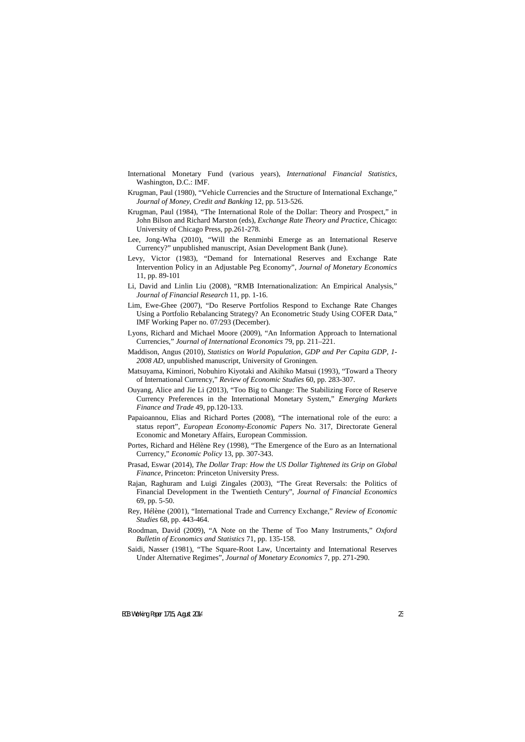- International Monetary Fund (various years), *International Financial Statistics*, Washington, D.C.: IMF.
- Krugman, Paul (1980), "Vehicle Currencies and the Structure of International Exchange," *Journal of Money, Credit and Banking* 12, pp. 513-526.
- Krugman, Paul (1984), "The International Role of the Dollar: Theory and Prospect," in John Bilson and Richard Marston (eds), *Exchange Rate Theory and Practice*, Chicago: University of Chicago Press, pp.261-278.
- Lee, Jong-Wha (2010), "Will the Renminbi Emerge as an International Reserve Currency?" unpublished manuscript, Asian Development Bank (June).
- Levy, Victor (1983), "Demand for International Reserves and Exchange Rate Intervention Policy in an Adjustable Peg Economy", *Journal of Monetary Economics* 11, pp. 89-101
- Li, David and Linlin Liu (2008), "RMB Internationalization: An Empirical Analysis," *Journal of Financial Research* 11, pp. 1-16.
- Lim, Ewe-Ghee (2007), "Do Reserve Portfolios Respond to Exchange Rate Changes Using a Portfolio Rebalancing Strategy? An Econometric Study Using COFER Data," IMF Working Paper no. 07/293 (December).
- Lyons, Richard and Michael Moore (2009), "An Information Approach to International Currencies," *Journal of International Economics* 79, pp. 211–221.
- Maddison, Angus (2010), *Statistics on World Population, GDP and Per Capita GDP, 1- 2008 AD*, unpublished manuscript, University of Groningen.
- Matsuyama, Kiminori, Nobuhiro Kiyotaki and Akihiko Matsui (1993), "Toward a Theory of International Currency," *Review of Economic Studies* 60, pp. 283-307.
- Ouyang, Alice and Jie Li (2013), "Too Big to Change: The Stabilizing Force of Reserve Currency Preferences in the International Monetary System," *Emerging Markets Finance and Trade* 49, pp.120-133.
- Papaioannou, Elias and Richard Portes (2008), "The international role of the euro: a status report", *European Economy-Economic Papers* No. 317, Directorate General Economic and Monetary Affairs, European Commission.
- Portes, Richard and Hélène Rey (1998), "The Emergence of the Euro as an International Currency," *Economic Policy* 13, pp. 307-343.
- Prasad, Eswar (2014), *The Dollar Trap: How the US Dollar Tightened its Grip on Global Finance*, Princeton: Princeton University Press.
- Rajan, Raghuram and Luigi Zingales (2003), "The Great Reversals: the Politics of Financial Development in the Twentieth Century", *Journal of Financial Economics* 69, pp. 5-50.
- Rey, Hélène (2001), "International Trade and Currency Exchange," *Review of Economic Studies* 68, pp. 443-464.
- Roodman, David (2009), "A Note on the Theme of Too Many Instruments," *Oxford Bulletin of Economics and Statistics* 71, pp. 135-158.
- Saidi, Nasser (1981), "The Square-Root Law, Uncertainty and International Reserves Under Alternative Regimes", *Journal of Monetary Economics* 7, pp. 271-290.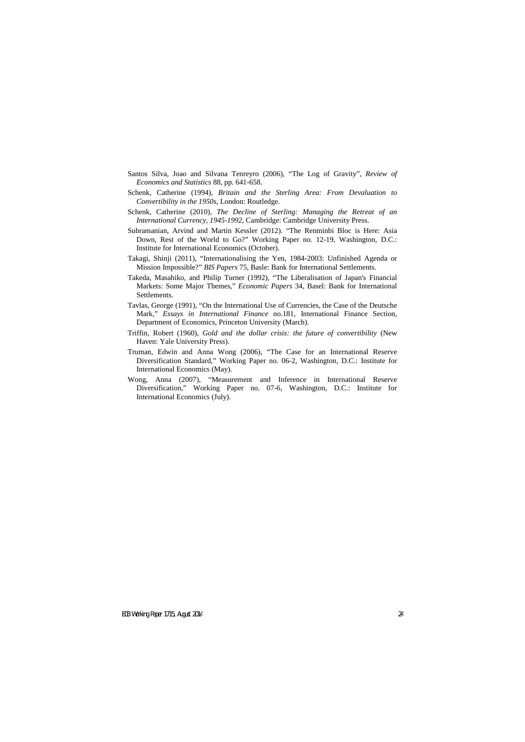- Santos Silva, Joao and Silvana Tenreyro (2006), "The Log of Gravity", *Review of Economics and Statistics* 88, pp. 641-658.
- Schenk, Catherine (1994), *Britain and the Sterling Area: From Devaluation to Convertibility in the 1950s*, London: Routledge.
- Schenk, Catherine (2010), *The Decline of Sterling: Managing the Retreat of an International Currency, 1945-1992*, Cambridge: Cambridge University Press.
- Subramanian, Arvind and Martin Kessler (2012). "The Renminbi Bloc is Here: Asia Down, Rest of the World to Go?" Working Paper no. 12-19, Washington, D.C.: Institute for International Economics (October).
- Takagi, Shinji (2011), "Internationalising the Yen, 1984-2003: Unfinished Agenda or Mission Impossible?" *BIS Papers* 75, Basle: Bank for International Settlements.
- Takeda, Masahiko, and Philip Turner (1992), "The Liberalisation of Japan's Financial Markets: Some Major Themes," *Economic Papers* 34, Basel: Bank for International Settlements.
- Tavlas, George (1991), "On the International Use of Currencies, the Case of the Deutsche Mark," *Essays in International Finance* no.181, International Finance Section, Department of Economics, Princeton University (March).
- Triffin, Robert (1960), *Gold and the dollar crisis: the future of convertibility* (New Haven: Yale University Press).
- Truman, Edwin and Anna Wong (2006), "The Case for an International Reserve Diversification Standard," Working Paper no. 06-2, Washington, D.C.: Institute for International Economics (May).
- Wong, Anna (2007), "Measurement and Inference in International Reserve Diversification," Working Paper no. 07-6, Washington, D.C.: Institute for International Economics (July).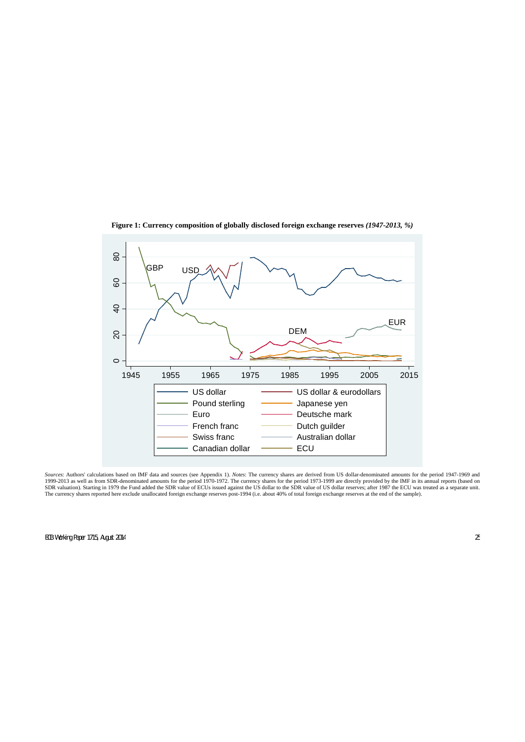

**Figure 1: Currency composition of globally disclosed foreign exchange reserves** *(1947-2013, %)*

*Sources*: Authors' calculations based on IMF data and sources (see Appendix 1). *Notes*: The currency shares are derived from US dollar-denominated amounts for the period 1947-1969 and 1999-2013 as well as from SDR-denominated amounts for the period 1970-1972. The currency shares for the period 1973-1999 are directly provided by the IMF in its annual reports (based on SDR valuation). Starting in 1979 the Fund added the SDR value of ECUs issued against the US dollar to the SDR value of US dollar reserves; after 1987 the ECU was treated as a separate unit. The currency shares reported here exclude unallocated foreign exchange reserves post-1994 (i.e. about 40% of total foreign exchange reserves at the end of the sample).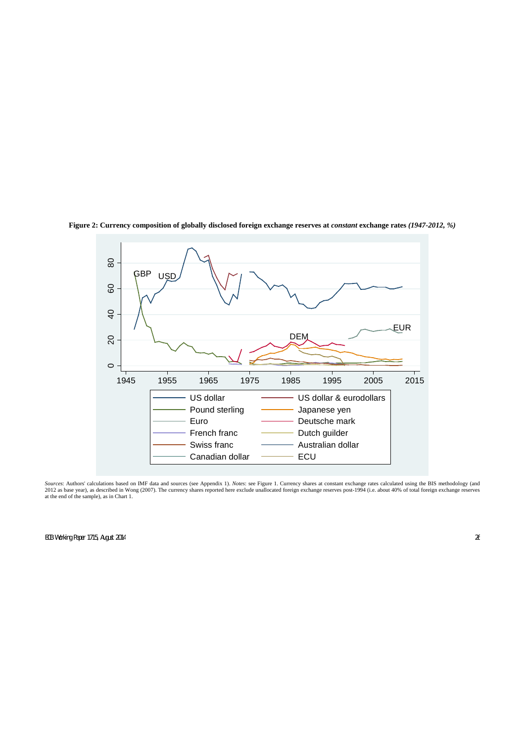

**Figure 2: Currency composition of globally disclosed foreign exchange reserves at** *constant* **exchange rates** *(1947-2012, %)*

*Sources*: Authors' calculations based on IMF data and sources (see Appendix 1). *Notes*: see Figure 1. Currency shares at constant exchange rates calculated using the BIS methodology (and 2012 as base year), as described in Wong (2007). The currency shares reported here exclude unallocated foreign exchange reserves post-1994 (i.e. about 40% of total foreign exchange reserves at the end of the sample), as in Chart 1.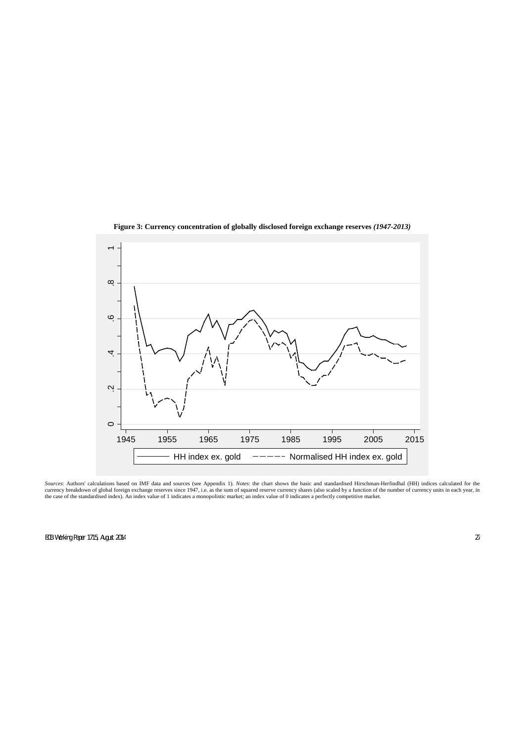

**Figure 3: Currency concentration of globally disclosed foreign exchange reserves** *(1947-2013)*

*Sources*: Authors' calculations based on IMF data and sources (see Appendix 1). *Notes*: the chart shows the basic and standardised Hirschman-Herfindhal (HH) indices calculated for the currency breakdown of global foreign exchange reserves since 1947, i.e. as the sum of squared reserve currency shares (also scaled by a function of the number of currency units in each year, in the case of the standardised index). An index value of 1 indicates a monopolistic market; an index value of 0 indicates a perfectly competitive market.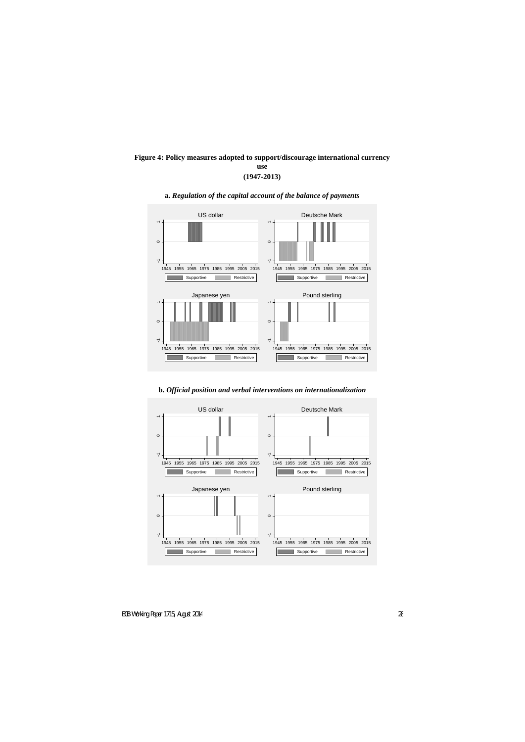## **Figure 4: Policy measures adopted to support/discourage international currency use (1947-2013)**



## **a.** *Regulation of the capital account of the balance of payments*

**b.** *Official position and verbal interventions on internationalization*

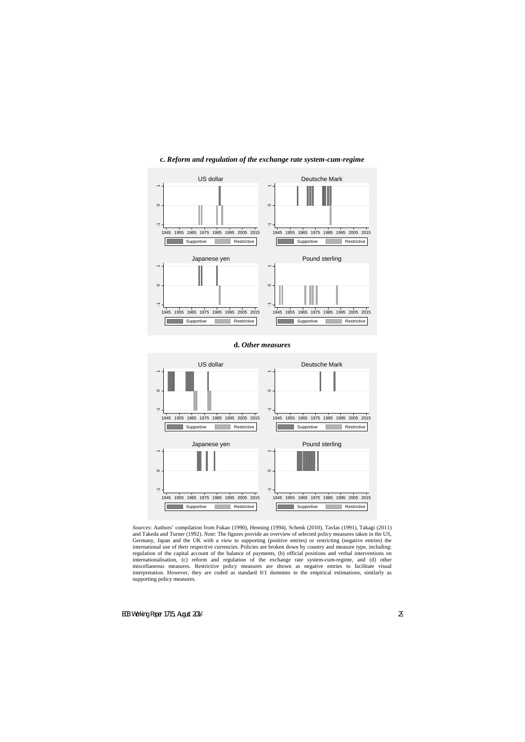



## **d.** *Other measures*



*Sources*: Authors' compilation from Fukao (1990), Henning (1994), Schenk (2010), Tavlas (1991), Takagi (2011) and Takeda and Turner (1992). *Note*: The figures provide an overview of selected policy measures taken in the US, Germany, Japan and the UK with a view to supporting (positive entries) or restricting (negative entries) the international use of their respective currencies. Policies are broken down by country and measure type, including: regulation of the capital account of the balance of payments, (b) official positions and verbal interventions on internationalisation, (c) reform and regulation of the exchange rate system-cum-regime, and (d) other miscellaneous measures. Restrictive policy measures are shown as negative entries to facilitate visual interpretation. However, they are coded as standard 0/1 dummies in the empirical estimations, similarly as supporting policy measures.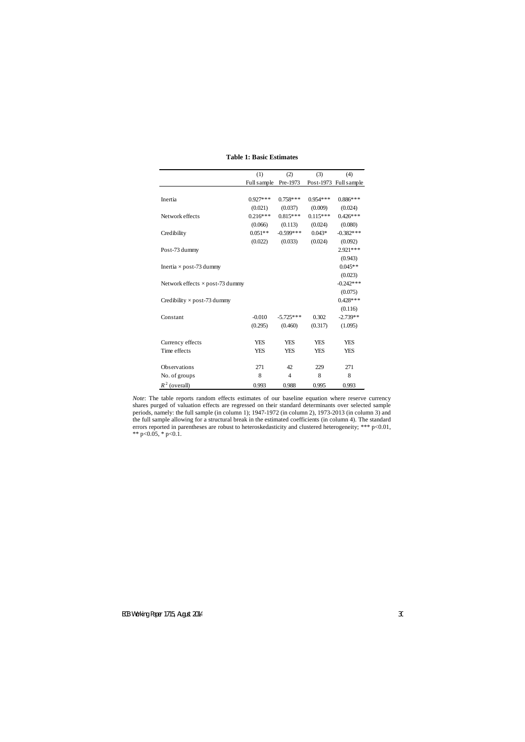|                                        | (1)         | (2)            | (3)        | (4)                   |
|----------------------------------------|-------------|----------------|------------|-----------------------|
|                                        | Full sample | Pre-1973       |            | Post-1973 Full sample |
|                                        |             |                |            |                       |
| Inertia                                | $0.927***$  | $0.758***$     | $0.954***$ | $0.886***$            |
|                                        | (0.021)     | (0.037)        | (0.009)    | (0.024)               |
| Network effects                        | $0.216***$  | $0.815***$     | $0.115***$ | $0.426***$            |
|                                        | (0.066)     | (0.113)        | (0.024)    | (0.080)               |
| Credibility                            | $0.051**$   | $-0.599***$    | $0.043*$   | $-0.382***$           |
|                                        | (0.022)     | (0.033)        | (0.024)    | (0.092)               |
| Post-73 dummy                          |             |                |            | $2.921***$            |
|                                        |             |                |            | (0.943)               |
| Inertia $\times$ post-73 dummy         |             |                |            | $0.045**$             |
|                                        |             |                |            | (0.023)               |
| Network effects $\times$ post-73 dummy |             |                |            | $-0.242***$           |
|                                        |             |                |            | (0.075)               |
| Credibility $\times$ post-73 dummy     |             |                |            | $0.428***$            |
|                                        |             |                |            | (0.116)               |
| Constant                               | $-0.010$    | $-5.725***$    | 0.302      | $-2.739**$            |
|                                        | (0.295)     | (0.460)        | (0.317)    | (1.095)               |
|                                        |             |                |            |                       |
| Currency effects                       | <b>YES</b>  | <b>YES</b>     | <b>YES</b> | <b>YES</b>            |
| Time effects                           | <b>YES</b>  | <b>YES</b>     | <b>YES</b> | <b>YES</b>            |
|                                        |             |                |            |                       |
| Observations                           | 271         | 42             | 229        | 271                   |
| No. of groups                          | 8           | $\overline{4}$ | 8          | 8                     |
| $R^2$ (overall)                        | 0.993       | 0.988          | 0.995      | 0.993                 |

## **Table 1: Basic Estimates**

*Note*: The table reports random effects estimates of our baseline equation where reserve currency shares purged of valuation effects are regressed on their standard determinants over selected sample periods, namely: the full sample (in column 1); 1947-1972 (in column 2), 1973-2013 (in column 3) and the full sample allowing for a structural break in the estimated coefficients (in column 4). The standard errors reported in parentheses are robust to heteroskedasticity and clustered heterogeneity; \*\*\* p<0.01, \*\* p<0.05, \* p<0.1.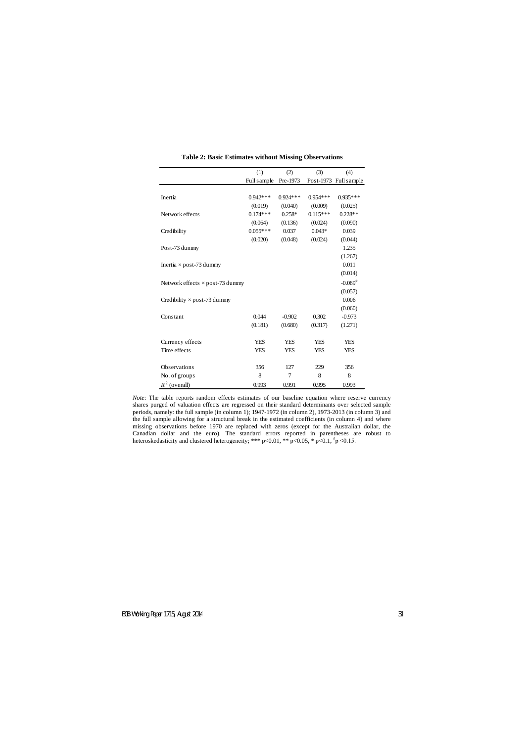|                                        | (1)         | (2)        | (3)        | (4)                   |
|----------------------------------------|-------------|------------|------------|-----------------------|
|                                        | Full sample | Pre-1973   |            | Post-1973 Full sample |
|                                        |             |            |            |                       |
| Inertia                                | $0.942***$  | $0.924***$ | $0.954***$ | $0.935***$            |
|                                        | (0.019)     | (0.040)    | (0.009)    | (0.025)               |
| Network effects                        | $0.174***$  | $0.258*$   | $0.115***$ | $0.228**$             |
|                                        | (0.064)     | (0.136)    | (0.024)    | (0.090)               |
| Credibility                            | $0.055***$  | 0.037      | $0.043*$   | 0.039                 |
|                                        | (0.020)     | (0.048)    | (0.024)    | (0.044)               |
| Post-73 dummy                          |             |            |            | 1.235                 |
|                                        |             |            |            | (1.267)               |
| Inertia $\times$ post-73 dummy         |             |            |            | 0.011                 |
|                                        |             |            |            | (0.014)               |
| Network effects $\times$ post-73 dummy |             |            |            | $-0.089^{#}$          |
|                                        |             |            |            | (0.057)               |
| Credibility $\times$ post-73 dummy     |             |            |            | 0.006                 |
|                                        |             |            |            | (0.060)               |
| Constant                               | 0.044       | $-0.902$   | 0.302      | $-0.973$              |
|                                        | (0.181)     | (0.680)    | (0.317)    | (1.271)               |
|                                        |             |            |            |                       |
| Currency effects                       | <b>YES</b>  | <b>YES</b> | <b>YES</b> | <b>YES</b>            |
| Time effects                           | <b>YES</b>  | <b>YES</b> | <b>YES</b> | <b>YES</b>            |
|                                        |             |            |            |                       |
| Observations                           | 356         | 127        | 229        | 356                   |
| No. of groups                          | 8           | 7          | 8          | 8                     |
| $R^2$ (overall)                        | 0.993       | 0.991      | 0.995      | 0.993                 |

**Table 2: Basic Estimates without Missing Observations** 

*Note*: The table reports random effects estimates of our baseline equation where reserve currency shares purged of valuation effects are regressed on their standard determinants over selected sample periods, namely: the full sample (in column 1); 1947-1972 (in column 2), 1973-2013 (in column 3) and the full sample allowing for a structural break in the estimated coefficients (in column 4) and where missing observations before 1970 are replaced with zeros (except for the Australian dollar, the Canadian dollar and the euro). The standard errors reported in parentheses are robust to heteroskedasticity and clustered heterogeneity; \*\*\* p<0.01, \*\* p<0.05, \* p<0.1,  $\frac{\#p}{p} \leq 0.15$ .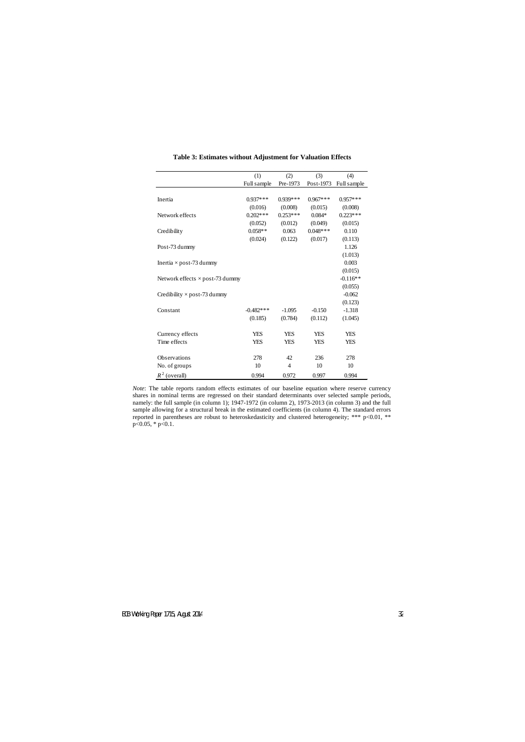|                                        | (1)         | (2)        | (3)        | (4)         |
|----------------------------------------|-------------|------------|------------|-------------|
|                                        |             | Pre-1973   | Post-1973  |             |
|                                        | Full sample |            |            | Full sample |
| Inertia                                | $0.937***$  | $0.939***$ | $0.967***$ | $0.957***$  |
|                                        | (0.016)     | (0.008)    | (0.015)    | (0.008)     |
| Network effects                        | $0.202***$  | $0.253***$ | $0.084*$   | $0.223***$  |
|                                        | (0.052)     | (0.012)    | (0.049)    | (0.015)     |
| Credibility                            | $0.058**$   | 0.063      | $0.048***$ | 0.110       |
|                                        | (0.024)     | (0.122)    | (0.017)    | (0.113)     |
| Post-73 dummy                          |             |            |            | 1.126       |
|                                        |             |            |            | (1.013)     |
| Inertia $\times$ post-73 dummy         |             |            |            | 0.003       |
|                                        |             |            |            | (0.015)     |
| Network effects $\times$ post-73 dummy |             |            |            | $-0.116**$  |
|                                        |             |            |            | (0.055)     |
| Credibility $\times$ post-73 dummy     |             |            |            | $-0.062$    |
|                                        |             |            |            | (0.123)     |
| Constant                               | $-0.482***$ | $-1.095$   | $-0.150$   | $-1.318$    |
|                                        | (0.185)     | (0.784)    | (0.112)    | (1.045)     |
|                                        |             |            |            |             |
| Currency effects                       | <b>YES</b>  | <b>YES</b> | <b>YES</b> | <b>YES</b>  |
| Time effects                           | <b>YES</b>  | <b>YES</b> | YES        | <b>YES</b>  |
|                                        |             |            |            |             |
| <b>Observations</b>                    | 278         | 42         | 236        | 278         |
| No. of groups                          | 10          | 4          | 10         | 10          |
| $R^2$ (overall)                        | 0.994       | 0.972      | 0.997      | 0.994       |

## **Table 3: Estimates without Adjustment for Valuation Effects**

*Note*: The table reports random effects estimates of our baseline equation where reserve currency shares in nominal terms are regressed on their standard determinants over selected sample periods, namely: the full sample (in column 1); 1947-1972 (in column 2), 1973-2013 (in column 3) and the full sample allowing for a structural break in the estimated coefficients (in column 4). The standard errors reported in parentheses are robust to heteroskedasticity and clustered heterogeneity; \*\*\* p<0.01, \*\* p<0.05, \* p<0.1.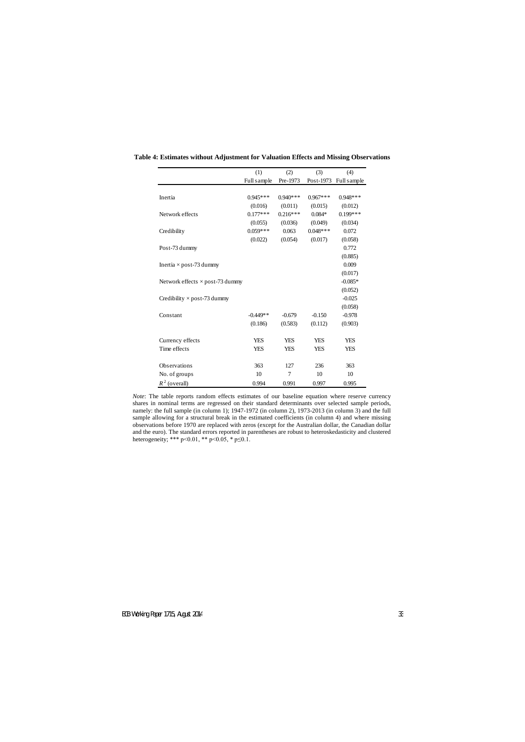|                                        | (1)         | (2)        | (3)        | (4)         |
|----------------------------------------|-------------|------------|------------|-------------|
|                                        | Full sample | Pre-1973   | Post-1973  | Full sample |
|                                        |             |            |            |             |
| Inertia                                | $0.945***$  | $0.940***$ | $0.967***$ | $0.948***$  |
|                                        | (0.016)     | (0.011)    | (0.015)    | (0.012)     |
| Network effects                        | $0.177***$  | $0.216***$ | $0.084*$   | $0.199***$  |
|                                        | (0.055)     | (0.036)    | (0.049)    | (0.034)     |
| Credibility                            | $0.059***$  | 0.063      | $0.048***$ | 0.072       |
|                                        | (0.022)     | (0.054)    | (0.017)    | (0.058)     |
| Post-73 dummy                          |             |            |            | 0.772       |
|                                        |             |            |            | (0.885)     |
| Inertia $\times$ post-73 dummy         |             |            |            | 0.009       |
|                                        |             |            |            | (0.017)     |
| Network effects $\times$ post-73 dummy |             |            |            | $-0.085*$   |
|                                        |             |            |            | (0.052)     |
| Credibility $\times$ post-73 dummy     |             |            |            | $-0.025$    |
|                                        |             |            |            | (0.058)     |
| Constant                               | $-0.449**$  | $-0.679$   | $-0.150$   | $-0.978$    |
|                                        | (0.186)     | (0.583)    | (0.112)    | (0.903)     |
|                                        |             |            |            |             |
| Currency effects                       | <b>YES</b>  | <b>YES</b> | <b>YES</b> | <b>YES</b>  |
| Time effects                           | <b>YES</b>  | YES        | <b>YES</b> | <b>YES</b>  |
|                                        |             |            |            |             |
| Observations                           | 363         | 127        | 236        | 363         |
| No. of groups                          | 10          | 7          | 10         | 10          |
| $R^2$ (overall)                        | 0.994       | 0.991      | 0.997      | 0.995       |

**Table 4: Estimates without Adjustment for Valuation Effects and Missing Observations**

*Note*: The table reports random effects estimates of our baseline equation where reserve currency shares in nominal terms are regressed on their standard determinants over selected sample periods, namely: the full sample (in column 1); 1947-1972 (in column 2), 1973-2013 (in column 3) and the full sample allowing for a structural break in the estimated coefficients (in column 4) and where missing observations before 1970 are replaced with zeros (except for the Australian dollar, the Canadian dollar and the euro). The standard errors reported in parentheses are robust to heteroskedasticity and clustered heterogeneity; \*\*\* p<0.01, \*\* p<0.05, \* p $\leq$ 0.1.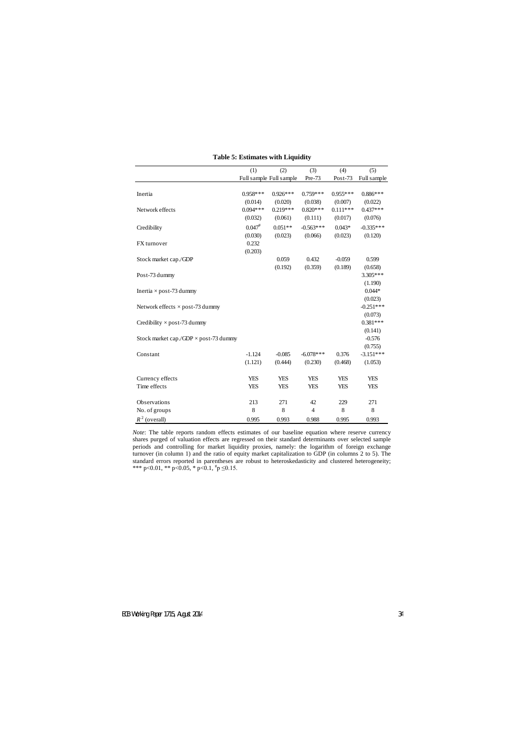|                                              | (1)                  | (2)                     | (3)            | (4)        | (5)         |
|----------------------------------------------|----------------------|-------------------------|----------------|------------|-------------|
|                                              |                      | Full sample Full sample | Pre-73         | Post-73    | Full sample |
|                                              |                      |                         |                |            |             |
| Inertia                                      | $0.958***$           | $0.926***$              | $0.759***$     | $0.955***$ | $0.886***$  |
|                                              | (0.014)              | (0.020)                 | (0.038)        | (0.007)    | (0.022)     |
| Network effects                              | $0.094***$           | $0.219***$              | $0.820***$     | $0.111***$ | $0.437***$  |
|                                              | (0.032)              | (0.061)                 | (0.111)        | (0.017)    | (0.076)     |
| Credibility                                  | $0.047$ <sup>#</sup> | $0.051**$               | $-0.563***$    | $0.043*$   | $-0.335***$ |
|                                              | (0.030)              | (0.023)                 | (0.066)        | (0.023)    | (0.120)     |
| FX turnover                                  | 0.232                |                         |                |            |             |
|                                              | (0.203)              |                         |                |            |             |
| Stock market cap./GDP                        |                      | 0.059                   | 0.432          | $-0.059$   | 0.599       |
|                                              |                      | (0.192)                 | (0.359)        | (0.189)    | (0.658)     |
| Post-73 dummy                                |                      |                         |                |            | 3.305***    |
|                                              |                      |                         |                |            | (1.190)     |
| Inertia $\times$ post-73 dummy               |                      |                         |                |            | $0.044*$    |
|                                              |                      |                         |                |            | (0.023)     |
| Network effects $\times$ post-73 dummy       |                      |                         |                |            | $-0.251***$ |
|                                              |                      |                         |                |            | (0.073)     |
| Credibility $\times$ post-73 dummy           |                      |                         |                |            | $0.381***$  |
|                                              |                      |                         |                |            | (0.141)     |
| Stock market cap./GDP $\times$ post-73 dummy |                      |                         |                |            | $-0.576$    |
|                                              |                      |                         |                |            | (0.755)     |
| Constant                                     | $-1.124$             | $-0.085$                | $-6.078$ ***   | 0.376      | $-3.151***$ |
|                                              | (1.121)              | (0.444)                 | (0.230)        | (0.468)    | (1.053)     |
|                                              |                      |                         |                |            |             |
| Currency effects                             | <b>YES</b>           | <b>YES</b>              | <b>YES</b>     | <b>YES</b> | <b>YES</b>  |
| Time effects                                 | <b>YES</b>           | <b>YES</b>              | <b>YES</b>     | <b>YES</b> | <b>YES</b>  |
|                                              |                      |                         |                |            |             |
| Observations                                 | 213                  | 271                     | 42             | 229        | 271         |
| No. of groups                                | 8                    | 8                       | $\overline{4}$ | 8          | 8           |
| $R^2$ (overall)                              | 0.995                | 0.993                   | 0.988          | 0.995      | 0.993       |

## **Table 5: Estimates with Liquidity**

*Note*: The table reports random effects estimates of our baseline equation where reserve currency shares purged of valuation effects are regressed on their standard determinants over selected sample periods and controlling for market liquidity proxies, namely: the logarithm of foreign exchange turnover (in column 1) and the ratio of equity market capitalization to GDP (in columns 2 to 5). The standard errors reported in parentheses are robust to heteroskedasticity and clustered heterogeneity; \*\*\* p<0.01, \*\* p<0.05, \* p<0.1,  $p \le 0.15$ .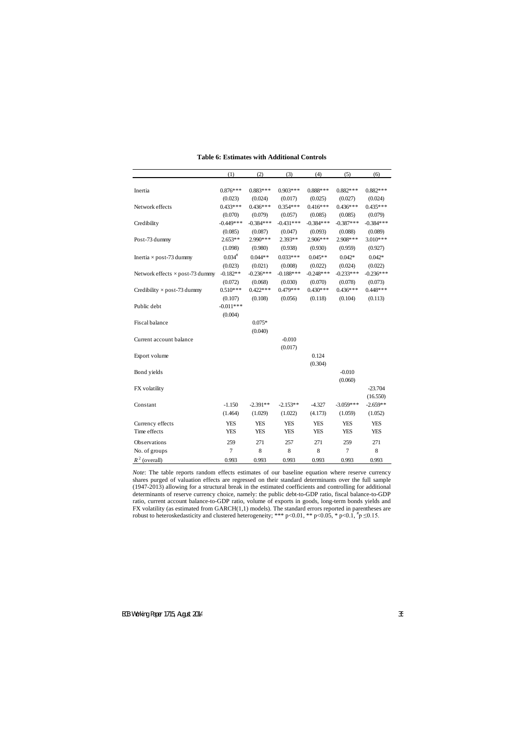|                                        | (1)                  | (2)         | (3)         | (4)          | (5)         | (6)         |
|----------------------------------------|----------------------|-------------|-------------|--------------|-------------|-------------|
|                                        |                      |             |             |              |             |             |
| Inertia                                | $0.876***$           | $0.883***$  | $0.903***$  | $0.888***$   | $0.882***$  | $0.882***$  |
|                                        | (0.023)              | (0.024)     | (0.017)     | (0.025)      | (0.027)     | (0.024)     |
| Network effects                        | $0.433***$           | $0.436***$  | $0.354***$  | $0.416***$   | $0.436***$  | $0.435***$  |
|                                        | (0.070)              | (0.079)     | (0.057)     | (0.085)      | (0.085)     | (0.079)     |
| Credibility                            | $-0.449***$          | $-0.384***$ | $-0.431***$ | $-0.384***$  | $-0.387***$ | $-0.384***$ |
|                                        | (0.085)              | (0.087)     | (0.047)     | (0.093)      | (0.088)     | (0.089)     |
| Post-73 dummy                          | $2.653**$            | 2.990 ***   | $2.393**$   | $2.906***$   | 2.908***    | $3.010***$  |
|                                        | (1.098)              | (0.980)     | (0.938)     | (0.930)      | (0.959)     | (0.927)     |
| Inertia $\times$ post-73 dummy         | $0.034$ <sup>#</sup> | $0.044**$   | $0.033***$  | $0.045**$    | $0.042*$    | $0.042*$    |
|                                        | (0.023)              | (0.021)     | (0.008)     | (0.022)      | (0.024)     | (0.022)     |
| Network effects $\times$ post-73 dummy | $-0.182**$           | $-0.236***$ | $-0.188***$ | $-0.248$ *** | $-0.233***$ | $-0.236***$ |
|                                        | (0.072)              | (0.068)     | (0.030)     | (0.070)      | (0.078)     | (0.073)     |
| Credibility $\times$ post-73 dummy     | $0.510***$           | $0.422***$  | $0.479***$  | $0.430***$   | $0.436***$  | $0.448***$  |
|                                        | (0.107)              | (0.108)     | (0.056)     | (0.118)      | (0.104)     | (0.113)     |
| Public debt                            | $-0.011***$          |             |             |              |             |             |
|                                        | (0.004)              |             |             |              |             |             |
| Fiscal balance                         |                      | $0.075*$    |             |              |             |             |
|                                        |                      | (0.040)     |             |              |             |             |
| Current account balance                |                      |             | $-0.010$    |              |             |             |
|                                        |                      |             | (0.017)     |              |             |             |
| Export volume                          |                      |             |             | 0.124        |             |             |
|                                        |                      |             |             | (0.304)      |             |             |
| Bond yields                            |                      |             |             |              | $-0.010$    |             |
|                                        |                      |             |             |              | (0.060)     |             |
| FX volatility                          |                      |             |             |              |             | $-23.704$   |
|                                        |                      |             |             |              |             | (16.550)    |
| Constant                               | $-1.150$             | $-2.391**$  | $-2.153**$  | $-4.327$     | $-3.059***$ | $-2.659**$  |
|                                        | (1.464)              | (1.029)     | (1.022)     | (4.173)      | (1.059)     | (1.052)     |
| Currency effects                       | <b>YES</b>           | <b>YES</b>  | <b>YES</b>  | <b>YES</b>   | <b>YES</b>  | <b>YES</b>  |
| Time effects                           | <b>YES</b>           | <b>YES</b>  | <b>YES</b>  | <b>YES</b>   | <b>YES</b>  | <b>YES</b>  |
| Observations                           | 259                  | 271         | 257         | 271          | 259         | 271         |
| No. of groups                          | $\tau$               | 8           | $\,8\,$     | 8            | $\tau$      | $\,8\,$     |
| $R^2$ (overall)                        | 0.993                | 0.993       | 0.993       | 0.993        | 0.993       | 0.993       |

**Table 6: Estimates with Additional Controls**

*Note*: The table reports random effects estimates of our baseline equation where reserve currency shares purged of valuation effects are regressed on their standard determinants over the full sample (1947-2013) allowing for a structural break in the estimated coefficients and controlling for additional determinants of reserve currency choice, namely: the public debt-to-GDP ratio, fiscal balance-to-GDP ratio, current account balance-to-GDP ratio, volume of exports in goods, long-term bonds yields and FX volatility (as estimated from GARCH(1,1) models). The standard errors reported in parentheses are robust to heteroskedasticity and clustered heterogeneity; \*\*\* p<0.01, \*\* p<0.05, \* p<0.1,  $\frac{4}{7}$  p  $\leq$ 0.15.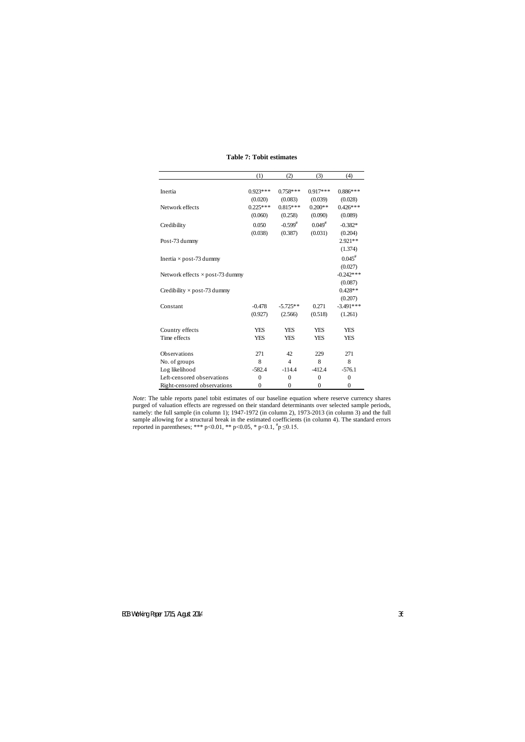|                                        | (1)            | (2)            | (3)              | (4)            |
|----------------------------------------|----------------|----------------|------------------|----------------|
|                                        |                |                |                  |                |
| Inertia                                | $0.923***$     | $0.758***$     | $0.917***$       | $0.886***$     |
|                                        | (0.020)        | (0.083)        | (0.039)          | (0.028)        |
| Network effects                        | $0.225***$     | $0.815***$     | $0.200**$        | $0.426***$     |
|                                        | (0.060)        | (0.258)        | (0.090)          | (0.089)        |
| Credibility                            | 0.050          | $-0.599^{#}$   | $0.049^{#}$      | $-0.382*$      |
|                                        | (0.038)        | (0.387)        | (0.031)          | (0.204)        |
| Post-73 dummy                          |                |                |                  | 2.921 **       |
|                                        |                |                |                  | (1.374)        |
| Inertia $\times$ post-73 dummy         |                |                |                  | $0.045^{*}$    |
|                                        |                |                |                  | (0.027)        |
| Network effects $\times$ post-73 dummy |                |                |                  | $-0.242***$    |
|                                        |                |                |                  | (0.087)        |
| Credibility $\times$ post-73 dummy     |                |                |                  | $0.428**$      |
|                                        |                |                |                  | (0.207)        |
| Constant                               | $-0.478$       | $-5.725**$     | 0.271            | $-3.491***$    |
|                                        | (0.927)        | (2.566)        | (0.518)          | (1.261)        |
| Country effects                        | <b>YES</b>     | <b>YES</b>     | <b>YES</b>       | <b>YES</b>     |
| Time effects                           | <b>YES</b>     | <b>YES</b>     | <b>YES</b>       | <b>YES</b>     |
|                                        |                |                |                  |                |
| Observations                           | 271            | 42             | 229              | 271            |
| No. of groups                          | 8              | $\overline{4}$ | 8                | 8              |
| Log likelihood                         | $-582.4$       | $-114.4$       | $-412.4$         | $-576.1$       |
| Left-censored observations             | $\overline{0}$ | $\theta$       | $\theta$         | $\overline{0}$ |
| Right-censored observations            | 0              | $\overline{0}$ | $\boldsymbol{0}$ | $\overline{0}$ |

## **Table 7: Tobit estimates**

*Note*: The table reports panel tobit estimates of our baseline equation where reserve currency shares purged of valuation effects are regressed on their standard determinants over selected sample periods, namely: the full sample (in column 1); 1947-1972 (in column 2), 1973-2013 (in column 3) and the full sample allowing for a structural break in the estimated coefficients (in column 4). The standard errors reported in parentheses; \*\*\* p<0.01, \*\* p<0.05, \* p<0.1,  $\frac{1}{r}$  p  $\leq$ 0.15.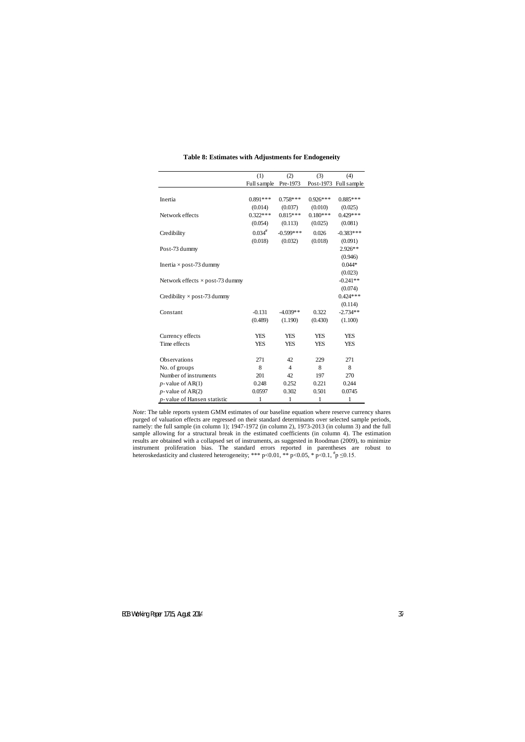|                                        | (1)         | (2)            | (3)        | (4)                   |
|----------------------------------------|-------------|----------------|------------|-----------------------|
|                                        | Full sample | Pre-1973       |            | Post-1973 Full sample |
|                                        |             |                |            |                       |
| Inertia                                | $0.891***$  | $0.758***$     | $0.926***$ | $0.885***$            |
|                                        | (0.014)     | (0.037)        | (0.010)    | (0.025)               |
| Network effects                        | $0.322***$  | $0.815***$     | $0.180***$ | $0.429***$            |
|                                        | (0.054)     | (0.113)        | (0.025)    | (0.081)               |
| Credibility                            | $0.034^{*}$ | $-0.599***$    | 0.026      | $-0.383***$           |
|                                        | (0.018)     | (0.032)        | (0.018)    | (0.091)               |
| Post-73 dummy                          |             |                |            | 2.926**               |
|                                        |             |                |            | (0.946)               |
| Inertia $\times$ post-73 dummy         |             |                |            | $0.044*$              |
|                                        |             |                |            | (0.023)               |
| Network effects $\times$ post-73 dummy |             |                |            | $-0.241**$            |
|                                        |             |                |            | (0.074)               |
| Credibility $\times$ post-73 dummy     |             |                |            | $0.424***$            |
|                                        |             |                |            | (0.114)               |
| Constant                               | $-0.131$    | $-4.039**$     | 0.322      | $-2.734**$            |
|                                        | (0.489)     | (1.190)        | (0.430)    | (1.100)               |
| Currency effects                       | <b>YES</b>  | <b>YES</b>     | <b>YES</b> | <b>YES</b>            |
| Time effects                           | <b>YES</b>  | <b>YES</b>     | <b>YES</b> | <b>YES</b>            |
|                                        |             |                |            |                       |
| Observations                           | 271         | 42             | 229        | 271                   |
| No. of groups                          | 8           | $\overline{4}$ | 8          | 8                     |
| Number of instruments                  | 201         | 42             | 197        | 270                   |
| $p$ -value of AR(1)                    | 0.248       | 0.252          | 0.221      | 0.244                 |
| $p$ -value of AR(2)                    | 0.0597      | 0.302          | 0.501      | 0.0745                |
| p-value of Hansen statistic            | 1           | 1              | 1          | 1                     |

## **Table 8: Estimates with Adjustments for Endogeneity**

*Note*: The table reports system GMM estimates of our baseline equation where reserve currency shares purged of valuation effects are regressed on their standard determinants over selected sample periods, namely: the full sample (in column 1); 1947-1972 (in column 2), 1973-2013 (in column 3) and the full sample allowing for a structural break in the estimated coefficients (in column 4). The estimation results are obtained with a collapsed set of instruments, as suggested in Roodman (2009), to minimize instrument proliferation bias. The standard errors reported in parentheses are robust to heteroskedasticity and clustered heterogeneity; \*\*\* p<0.01, \*\* p<0.05, \* p<0.1,  $\frac{1}{l}p \leq 0.15$ .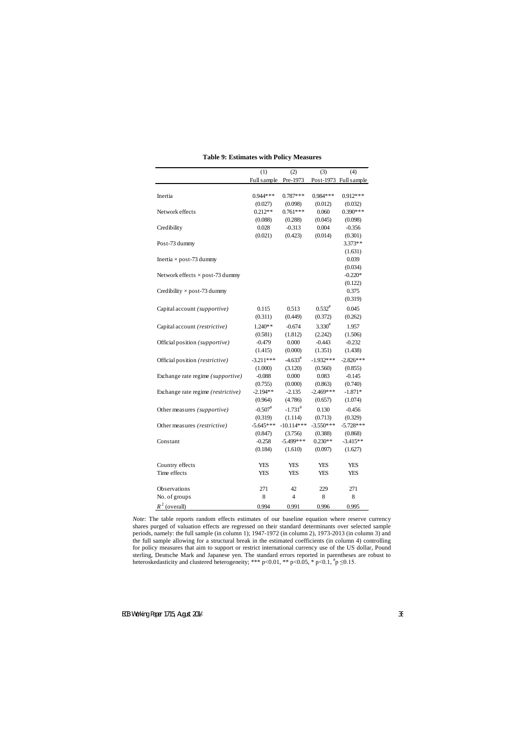|                                        | (1)                    | (2)                     | (3)                  | (4)                    |
|----------------------------------------|------------------------|-------------------------|----------------------|------------------------|
|                                        | Full sample            | Pre-1973                |                      | Post-1973 Full sample  |
|                                        |                        |                         |                      |                        |
| Inertia                                | $0.944***$             | $0.787***$              | 0.984***             | $0.912***$             |
|                                        | (0.027)                | (0.098)                 | (0.012)              | (0.032)                |
| Network effects                        | $0.212**$              | $0.761***$              | 0.060                | $0.390***$             |
|                                        | (0.088)                | (0.288)                 | (0.045)              | (0.098)                |
| Credibility                            | 0.028                  | $-0.313$                | 0.004                | $-0.356$               |
|                                        | (0.021)                | (0.423)                 | (0.014)              | (0.301)                |
| Post-73 dummy                          |                        |                         |                      | 3.373**                |
|                                        |                        |                         |                      | (1.631)                |
| Inertia $\times$ post-73 dummy         |                        |                         |                      | 0.039                  |
|                                        |                        |                         |                      | (0.034)                |
| Network effects $\times$ post-73 dummy |                        |                         |                      | $-0.220*$              |
|                                        |                        |                         |                      | (0.122)                |
| Credibility $\times$ post-73 dummy     |                        |                         |                      | 0.375                  |
|                                        |                        |                         |                      | (0.319)                |
| Capital account (supportive)           | 0.115                  | 0.513                   | $0.532^{*}$          | 0.045                  |
|                                        | (0.311)                | (0.449)                 | (0.372)              | (0.262)                |
| Capital account (restrictive)          | 1.240**                | $-0.674$                | $3.330^{#}$          | 1.957                  |
|                                        | (0.581)                | (1.812)                 | (2.242)              | (1.506)                |
| Official position (supportive)         | $-0.479$               | 0.000                   | $-0.443$             | $-0.232$               |
|                                        | (1.415)                | (0.000)                 | (1.351)              | (1.438)                |
| Official position (restrictive)        | $-3.211***$            | $-4.633^{\#}$           | $-1.932***$          | $-2.826***$            |
|                                        | (1.000)                | (3.120)                 | (0.560)              | (0.855)                |
| Exchange rate regime (supportive)      | $-0.088$               | 0.000                   | 0.083                | $-0.145$               |
|                                        | (0.755)                | (0.000)                 | (0.863)              | (0.740)                |
| Exchange rate regime (restrictive)     | $-2.194**$             | $-2.135$                | $-2.469***$          | $-1.871*$              |
|                                        | (0.964)                | (4.786)                 | (0.657)              | (1.074)                |
|                                        | $-0.507$ <sup>#</sup>  | $-1.731^{#}$            |                      |                        |
| Other measures (supportive)            |                        |                         | 0.130<br>(0.713)     | $-0.456$               |
| Other measures (restrictive)           | (0.319)<br>$-5.645***$ | (1.114)<br>$-10.114***$ | $-3.550***$          | (0.329)<br>$-5.728***$ |
|                                        |                        | (3.756)                 |                      |                        |
| Constant                               | (0.847)<br>$-0.258$    | $-5.499$ ***            | (0.388)<br>$0.230**$ | (0.868)<br>$-3.415**$  |
|                                        | (0.184)                | (1.610)                 | (0.097)              | (1.627)                |
|                                        |                        |                         |                      |                        |
| Country effects                        | <b>YES</b>             | <b>YES</b>              | <b>YES</b>           | <b>YES</b>             |
| Time effects                           | <b>YES</b>             | YES                     | YES                  | <b>YES</b>             |
|                                        |                        |                         |                      |                        |
| Observations                           | 271                    | 42                      | 229                  | 271                    |
| No. of groups                          | 8                      | $\overline{4}$          | $8\,$                | 8                      |
| $R^2$ (overall)                        | 0.994                  | 0.991                   | 0.996                | 0.995                  |

**Table 9: Estimates with Policy Measures**

*Note*: The table reports random effects estimates of our baseline equation where reserve currency shares purged of valuation effects are regressed on their standard determinants over selected sample periods, namely: the full sample (in column 1); 1947-1972 (in column 2), 1973-2013 (in column 3) and the full sample allowing for a structural break in the estimated coefficients (in column 4) controlling for policy measures that aim to support or restrict international currency use of the US dollar, Pound sterling, Deutsche Mark and Japanese yen. The standard errors reported in parentheses are robust to heteroskedasticity and clustered heterogeneity; \*\*\* p<0.01, \*\* p<0.05, \* p<0.1,  $\frac{4}{7}$  p  $\leq$ 0.15.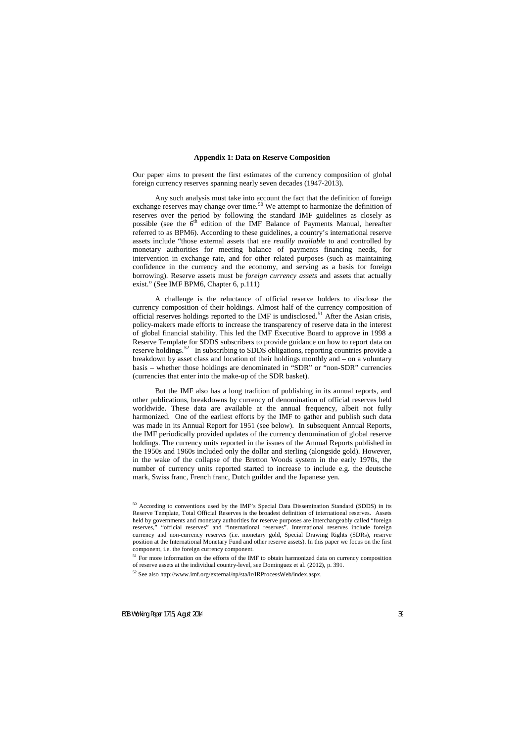## **Appendix 1: Data on Reserve Composition**

Our paper aims to present the first estimates of the currency composition of global foreign currency reserves spanning nearly seven decades (1947-2013).

Any such analysis must take into account the fact that the definition of foreign exchange reserves may change over time.<sup>[50](#page-40-0)</sup> We attempt to harmonize the definition of reserves over the period by following the standard IMF guidelines as closely as possible (see the  $6<sup>th</sup>$  edition of the IMF Balance of Payments Manual, hereafter referred to as BPM6). According to these guidelines, a country's international reserve assets include "those external assets that are *readily available* to and controlled by monetary authorities for meeting balance of payments financing needs, for intervention in exchange rate, and for other related purposes (such as maintaining confidence in the currency and the economy, and serving as a basis for foreign borrowing). Reserve assets must be *foreign currency assets* and assets that actually exist." (See IMF BPM6, Chapter 6, p.111)

A challenge is the reluctance of official reserve holders to disclose the currency composition of their holdings. Almost half of the currency composition of official reserves holdings reported to the IMF is undisclosed.<sup>[51](#page-40-1)</sup> After the Asian crisis, policy-makers made efforts to increase the transparency of reserve data in the interest of global financial stability. This led the IMF Executive Board to approve in 1998 a Reserve Template for SDDS subscribers to provide guidance on how to report data on reserve holdings.<sup>[52](#page-40-2)</sup> In subscribing to SDDS obligations, reporting countries provide a breakdown by asset class and location of their holdings monthly and – on a voluntary basis – whether those holdings are denominated in "SDR" or "non-SDR" currencies (currencies that enter into the make-up of the SDR basket).

But the IMF also has a long tradition of publishing in its annual reports, and other publications, breakdowns by currency of denomination of official reserves held worldwide. These data are available at the annual frequency, albeit not fully harmonized. One of the earliest efforts by the IMF to gather and publish such data was made in its Annual Report for 1951 (see below). In subsequent Annual Reports, the IMF periodically provided updates of the currency denomination of global reserve holdings. The currency units reported in the issues of the Annual Reports published in the 1950s and 1960s included only the dollar and sterling (alongside gold). However, in the wake of the collapse of the Bretton Woods system in the early 1970s, the number of currency units reported started to increase to include e.g. the deutsche mark, Swiss franc, French franc, Dutch guilder and the Japanese yen.

<sup>&</sup>lt;sup>50</sup> According to conventions used by the IMF's Special Data Dissemination Standard (SDDS) in its Reserve Template, Total Official Reserves is the broadest definition of international reserves. Assets held by governments and monetary authorities for reserve purposes are interchangeably called "foreign reserves," "official reserves" and "international reserves". International reserves include foreign currency and non-currency reserves (i.e. monetary gold, Special Drawing Rights (SDRs), reserve position at the International Monetary Fund and other reserve assets). In this paper we focus on the first component, i.e. the foreign currency component.

 $51$  For more information on the efforts of the IMF to obtain harmonized data on currency composition of reserve assets at the individual country-level, see Dominguez et al. (2012), p. 391.

<span id="page-40-2"></span><span id="page-40-1"></span><span id="page-40-0"></span><sup>52</sup> See also http://www.imf.org/external/np/sta/ir/IRProcessWeb/index.aspx.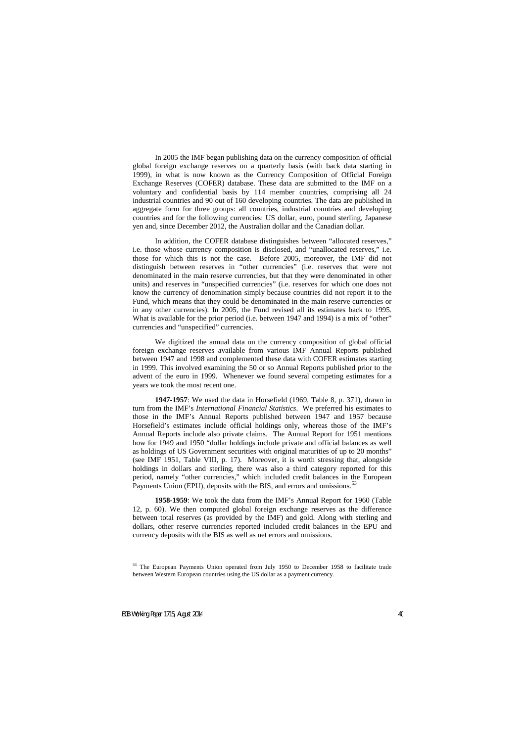In 2005 the IMF began publishing data on the currency composition of official global foreign exchange reserves on a quarterly basis (with back data starting in 1999), in what is now known as the Currency Composition of Official Foreign Exchange Reserves (COFER) database. These data are submitted to the IMF on a voluntary and confidential basis by 114 member countries, comprising all 24 industrial countries and 90 out of 160 developing countries. The data are published in aggregate form for three groups: all countries, industrial countries and developing countries and for the following currencies: US dollar, euro, pound sterling, Japanese yen and, since December 2012, the Australian dollar and the Canadian dollar.

In addition, the COFER database distinguishes between "allocated reserves," i.e. those whose currency composition is disclosed, and "unallocated reserves," i.e. those for which this is not the case. Before 2005, moreover, the IMF did not distinguish between reserves in "other currencies" (i.e. reserves that were not denominated in the main reserve currencies, but that they were denominated in other units) and reserves in "unspecified currencies" (i.e. reserves for which one does not know the currency of denomination simply because countries did not report it to the Fund, which means that they could be denominated in the main reserve currencies or in any other currencies). In 2005, the Fund revised all its estimates back to 1995. What is available for the prior period (i.e. between 1947 and 1994) is a mix of "other" currencies and "unspecified" currencies.

We digitized the annual data on the currency composition of global official foreign exchange reserves available from various IMF Annual Reports published between 1947 and 1998 and complemented these data with COFER estimates starting in 1999. This involved examining the 50 or so Annual Reports published prior to the advent of the euro in 1999. Whenever we found several competing estimates for a years we took the most recent one.

**1947-1957**: We used the data in Horsefield (1969, Table 8, p. 371), drawn in turn from the IMF's *International Financial Statistics*. We preferred his estimates to those in the IMF's Annual Reports published between 1947 and 1957 because Horsefield's estimates include official holdings only, whereas those of the IMF's Annual Reports include also private claims. The Annual Report for 1951 mentions how for 1949 and 1950 "dollar holdings include private and official balances as well as holdings of US Government securities with original maturities of up to 20 months" (see IMF 1951, Table VIII, p. 17). Moreover, it is worth stressing that, alongside holdings in dollars and sterling, there was also a third category reported for this period, namely "other currencies," which included credit balances in the European Payments Union (EPU), deposits with the BIS, and errors and omissions.<sup>[53](#page-41-0)</sup>

**1958-1959**: We took the data from the IMF's Annual Report for 1960 (Table 12, p. 60). We then computed global foreign exchange reserves as the difference between total reserves (as provided by the IMF) and gold. Along with sterling and dollars, other reserve currencies reported included credit balances in the EPU and currency deposits with the BIS as well as net errors and omissions.

<span id="page-41-0"></span><sup>&</sup>lt;sup>53</sup> The European Payments Union operated from July 1950 to December 1958 to facilitate trade between Western European countries using the US dollar as a payment currency.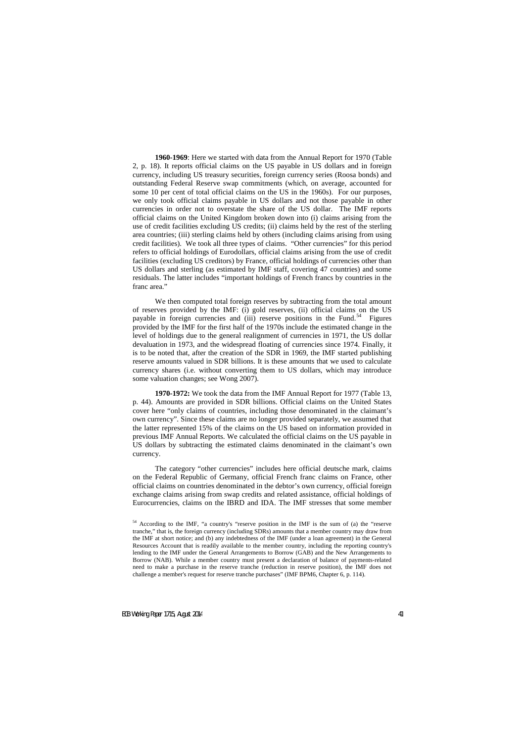**1960-1969**: Here we started with data from the Annual Report for 1970 (Table 2, p. 18). It reports official claims on the US payable in US dollars and in foreign currency, including US treasury securities, foreign currency series (Roosa bonds) and outstanding Federal Reserve swap commitments (which, on average, accounted for some 10 per cent of total official claims on the US in the 1960s). For our purposes, we only took official claims payable in US dollars and not those payable in other currencies in order not to overstate the share of the US dollar. The IMF reports official claims on the United Kingdom broken down into (i) claims arising from the use of credit facilities excluding US credits; (ii) claims held by the rest of the sterling area countries; (iii) sterling claims held by others (including claims arising from using credit facilities). We took all three types of claims. "Other currencies" for this period refers to official holdings of Eurodollars, official claims arising from the use of credit facilities (excluding US creditors) by France, official holdings of currencies other than US dollars and sterling (as estimated by IMF staff, covering 47 countries) and some residuals. The latter includes "important holdings of French francs by countries in the franc area."

We then computed total foreign reserves by subtracting from the total amount of reserves provided by the IMF: (i) gold reserves, (ii) official claims on the US payable in foreign currencies and (iii) reserve positions in the Fund.<sup>54</sup> Figures provided by the IMF for the first half of the 1970s include the estimated change in the level of holdings due to the general realignment of currencies in 1971, the US dollar devaluation in 1973, and the widespread floating of currencies since 1974. Finally, it is to be noted that, after the creation of the SDR in 1969, the IMF started publishing reserve amounts valued in SDR billions. It is these amounts that we used to calculate currency shares (i.e. without converting them to US dollars, which may introduce some valuation changes; see Wong 2007).

**1970-1972:** We took the data from the IMF Annual Report for 1977 (Table 13, p. 44). Amounts are provided in SDR billions. Official claims on the United States cover here "only claims of countries, including those denominated in the claimant's own currency". Since these claims are no longer provided separately, we assumed that the latter represented 15% of the claims on the US based on information provided in previous IMF Annual Reports. We calculated the official claims on the US payable in US dollars by subtracting the estimated claims denominated in the claimant's own currency.

The category "other currencies" includes here official deutsche mark, claims on the Federal Republic of Germany, official French franc claims on France, other official claims on countries denominated in the debtor's own currency, official foreign exchange claims arising from swap credits and related assistance, official holdings of Eurocurrencies, claims on the IBRD and IDA. The IMF stresses that some member

<span id="page-42-0"></span><sup>&</sup>lt;sup>54</sup> According to the IMF, "a country's "reserve position in the IMF is the sum of (a) the "reserve tranche," that is, the foreign currency (including SDRs) amounts that a member country may draw from the IMF at short notice; and (b) any indebtedness of the IMF (under a loan agreement) in the General Resources Account that is readily available to the member country, including the reporting country's lending to the IMF under the General Arrangements to Borrow (GAB) and the New Arrangements to Borrow (NAB). While a member country must present a declaration of balance of payments-related need to make a purchase in the reserve tranche (reduction in reserve position), the IMF does not challenge a member's request for reserve tranche purchases" (IMF BPM6, Chapter 6, p. 114).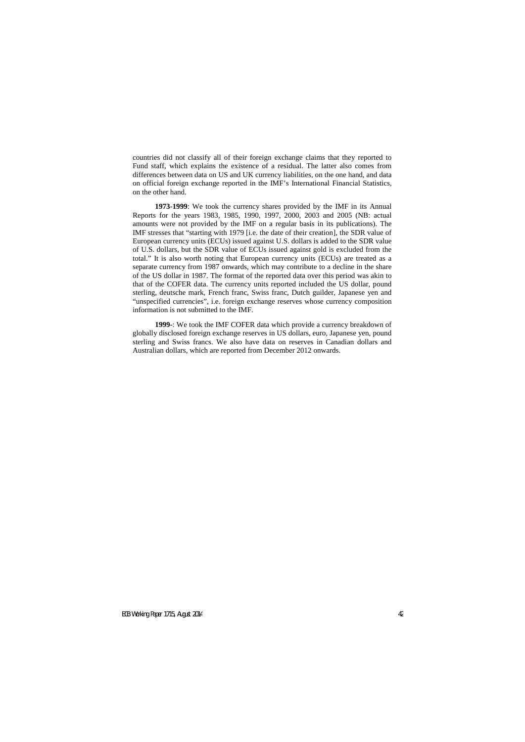countries did not classify all of their foreign exchange claims that they reported to Fund staff, which explains the existence of a residual. The latter also comes from differences between data on US and UK currency liabilities, on the one hand, and data on official foreign exchange reported in the IMF's International Financial Statistics, on the other hand.

**1973-1999**: We took the currency shares provided by the IMF in its Annual Reports for the years 1983, 1985, 1990, 1997, 2000, 2003 and 2005 (NB: actual amounts were not provided by the IMF on a regular basis in its publications). The IMF stresses that "starting with 1979 [i.e. the date of their creation], the SDR value of European currency units (ECUs) issued against U.S. dollars is added to the SDR value of U.S. dollars, but the SDR value of ECUs issued against gold is excluded from the total." It is also worth noting that European currency units (ECUs) are treated as a separate currency from 1987 onwards, which may contribute to a decline in the share of the US dollar in 1987. The format of the reported data over this period was akin to that of the COFER data. The currency units reported included the US dollar, pound sterling, deutsche mark, French franc, Swiss franc, Dutch guilder, Japanese yen and "unspecified currencies", i.e. foreign exchange reserves whose currency composition information is not submitted to the IMF.

**1999-**: We took the IMF COFER data which provide a currency breakdown of globally disclosed foreign exchange reserves in US dollars, euro, Japanese yen, pound sterling and Swiss francs. We also have data on reserves in Canadian dollars and Australian dollars, which are reported from December 2012 onwards.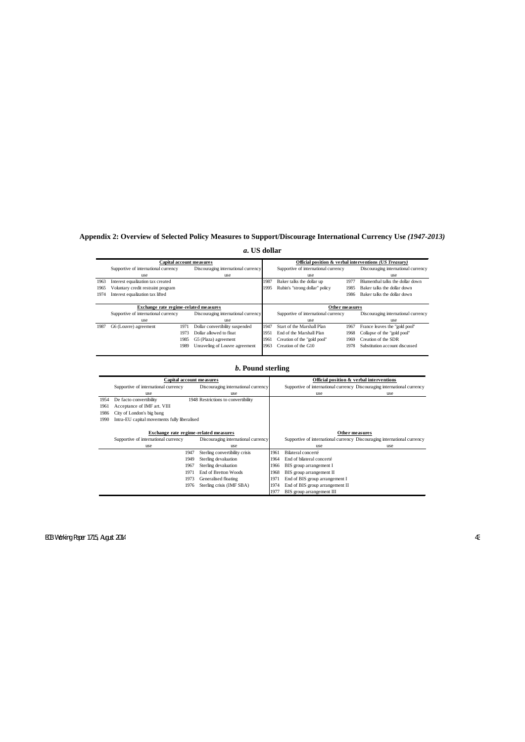## **Appendix 2: Overview of Selected Policy Measures to Support/Discourage International Currency Use** *(1947-2013)*

|      | Capital account measures              |      |                                     | Official position & verbal interventions (US Treasury) |                                      |                                     |                                     |
|------|---------------------------------------|------|-------------------------------------|--------------------------------------------------------|--------------------------------------|-------------------------------------|-------------------------------------|
|      | Supportive of international currency  |      | Discouraging international currency |                                                        | Supportive of international currency | Discouraging international currency |                                     |
|      | use                                   |      | use                                 |                                                        | use                                  |                                     | use                                 |
| 1963 | Interest equalization tax created     |      |                                     | 1987                                                   | Baker talks the dollar up            | 1977                                | Blumenthal talks the dollar down    |
| 1965 | Voluntary credit restraint program    |      |                                     | 1995                                                   | Rubin's "strong dollar" policy       | 1985                                | Baker talks the dollar down         |
| 1974 | Interest equalization tax lifted      |      |                                     |                                                        |                                      | 1986                                | Baker talks the dollar down         |
|      |                                       |      |                                     |                                                        |                                      |                                     |                                     |
|      | Exchange rate regime-related measures |      |                                     | Other measures                                         |                                      |                                     |                                     |
|      | Supportive of international currency  |      | Discouraging international currency |                                                        | Supportive of international currency |                                     | Discouraging international currency |
|      | use                                   |      | use                                 |                                                        | use                                  |                                     | use                                 |
| 1987 | G6 (Louvre) agreement                 | 1971 | Dollar convertibility suspended     | 1947                                                   | Start of the Marshall Plan           | 1967                                | France leaves the "gold pool"       |
|      |                                       | 1973 | Dollar allowed to float             | 1951                                                   | End of the Marshall Plan             | 1968                                | Collapse of the "gold pool"         |
|      |                                       | 1985 | G5 (Plaza) agreement                | 1961                                                   | Creation of the "gold pool"          | 1969                                | Creation of the SDR                 |
|      |                                       | 1989 | Unraveling of Louvre agreement      | 1963                                                   | Creation of the G10                  | 1978                                | Substitution account discussed      |
|      |                                       |      |                                     |                                                        |                                      |                                     |                                     |

## *a***. US dollar**

## *b***. Pound sterling**

|      | Capital account measures                     |                                     |      | Official position & verbal interventions                                 |     |  |  |
|------|----------------------------------------------|-------------------------------------|------|--------------------------------------------------------------------------|-----|--|--|
|      | Supportive of international currency         | Discouraging international currency |      | Supportive of international currency Discouraging international currency |     |  |  |
|      | use                                          | use                                 |      | use                                                                      | use |  |  |
| 1954 | De facto convertibility                      | 1948 Restrictions to convertibility |      |                                                                          |     |  |  |
| 1961 | Acceptance of IMF art. VIII                  |                                     |      |                                                                          |     |  |  |
| 1986 | City of London's big bang                    |                                     |      |                                                                          |     |  |  |
| 1990 | Intra-EU capital movements fully liberalised |                                     |      |                                                                          |     |  |  |
|      |                                              |                                     |      |                                                                          |     |  |  |
|      | Exchange rate regime-related measures        |                                     |      | Other measures                                                           |     |  |  |
|      | Supportive of international currency         | Discouraging international currency |      | Supportive of international currency Discouraging international currency |     |  |  |
|      | use                                          | use                                 |      | use                                                                      | use |  |  |
|      | 1947                                         | Sterling convertibility crisis      | 1961 | Bilateral concerté                                                       |     |  |  |
|      | 1949                                         | Sterling devaluation                | 1964 | End of bilateral concerté                                                |     |  |  |
|      | 1967                                         | Sterling devaluation                | 1966 | BIS group arrangement I                                                  |     |  |  |
|      | 1971                                         | End of Bretton Woods                | 1968 | BIS group arrangement II                                                 |     |  |  |
|      | 1973                                         | Generalised floating                | 1971 | End of BIS group arrangement I                                           |     |  |  |
|      | 1976                                         | Sterling crisis (IMF SBA)           | 1974 | End of BIS group arrangement II                                          |     |  |  |
|      |                                              |                                     | 1977 | BIS group arrangement III                                                |     |  |  |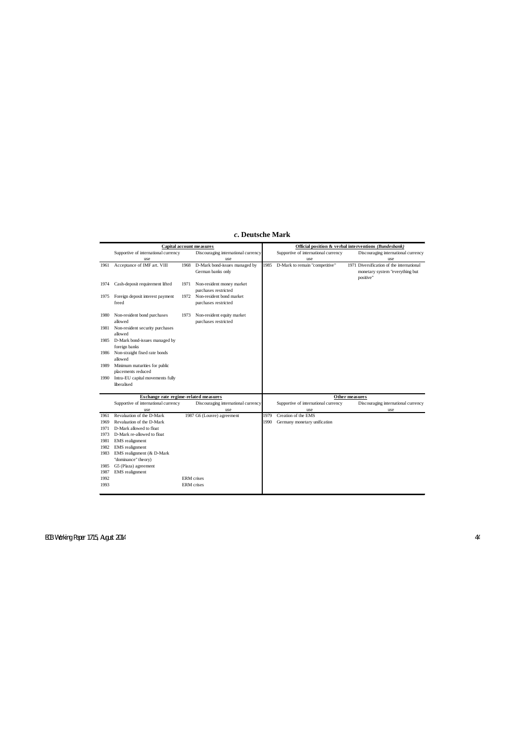|      | <b>Capital account measures</b>                  |                   |                                     |      | Official position & verbal interventions (Bundesbank) |  |                                           |  |  |
|------|--------------------------------------------------|-------------------|-------------------------------------|------|-------------------------------------------------------|--|-------------------------------------------|--|--|
|      | Supportive of international currency             |                   | Discouraging international currency |      | Supportive of international currency                  |  | Discouraging international currency       |  |  |
|      | use                                              |                   | use                                 |      | use                                                   |  | use                                       |  |  |
| 1961 | Acceptance of IMF art. VIII                      | 1968              | D-Mark bond-issues managed by       | 1985 | D-Mark to remain "competitive"                        |  | 1971 Diversification of the international |  |  |
|      |                                                  |                   | German banks only                   |      |                                                       |  | monetary system "everything but           |  |  |
|      |                                                  |                   |                                     |      |                                                       |  | positive"                                 |  |  |
| 1974 | Cash-deposit requirement lifted                  | 1971              | Non-resident money market           |      |                                                       |  |                                           |  |  |
|      |                                                  |                   | purchases restricted                |      |                                                       |  |                                           |  |  |
| 1975 | Foreign deposit interest payment                 | 1972              | Non-resident bond market            |      |                                                       |  |                                           |  |  |
|      | freed                                            |                   | purchases restricted                |      |                                                       |  |                                           |  |  |
| 1980 | Non-resident bond purchases                      | 1973              | Non-resident equity market          |      |                                                       |  |                                           |  |  |
|      | allowed                                          |                   | purchases restricted                |      |                                                       |  |                                           |  |  |
| 1981 | Non-resident security purchases<br>allowed       |                   |                                     |      |                                                       |  |                                           |  |  |
| 1985 | D-Mark bond-issues managed by                    |                   |                                     |      |                                                       |  |                                           |  |  |
|      | foreign banks                                    |                   |                                     |      |                                                       |  |                                           |  |  |
| 1986 | Non-straight fixed rate bonds                    |                   |                                     |      |                                                       |  |                                           |  |  |
|      | allowed                                          |                   |                                     |      |                                                       |  |                                           |  |  |
| 1989 | Minimum maturities for public                    |                   |                                     |      |                                                       |  |                                           |  |  |
|      | placements reduced                               |                   |                                     |      |                                                       |  |                                           |  |  |
| 1990 | Intra-EU capital movements fully                 |                   |                                     |      |                                                       |  |                                           |  |  |
|      | liberalised                                      |                   |                                     |      |                                                       |  |                                           |  |  |
|      | Exchange rate regime-related measures            |                   |                                     |      | Other measures                                        |  |                                           |  |  |
|      | Supportive of international currency             |                   | Discouraging international currency |      | Supportive of international currency                  |  | Discouraging international currency       |  |  |
|      | use                                              |                   | use                                 |      | use                                                   |  | use                                       |  |  |
| 1961 | Revaluation of the D-Mark                        |                   | 1987 G6 (Louvre) agreement          | 1979 | Creation of the EMS                                   |  |                                           |  |  |
| 1969 | Revaluation of the D-Mark                        |                   |                                     | 1990 | Germany monetary unification                          |  |                                           |  |  |
| 1971 | D-Mark allowed to float                          |                   |                                     |      |                                                       |  |                                           |  |  |
| 1973 | D-Mark re-allowed to float                       |                   |                                     |      |                                                       |  |                                           |  |  |
| 1981 | <b>EMS</b> realignment                           |                   |                                     |      |                                                       |  |                                           |  |  |
| 1982 | <b>EMS</b> realignment                           |                   |                                     |      |                                                       |  |                                           |  |  |
| 1983 | EMS realignment (& D-Mark<br>"dominance" theory) |                   |                                     |      |                                                       |  |                                           |  |  |
| 1985 | G5 (Plaza) agreement                             |                   |                                     |      |                                                       |  |                                           |  |  |
| 1987 | <b>EMS</b> realignment                           |                   |                                     |      |                                                       |  |                                           |  |  |
| 1992 |                                                  | <b>ERM</b> crises |                                     |      |                                                       |  |                                           |  |  |
| 1993 |                                                  | <b>ERM</b> crises |                                     |      |                                                       |  |                                           |  |  |
|      |                                                  |                   |                                     |      |                                                       |  |                                           |  |  |

## *c***. Deutsche Mark**